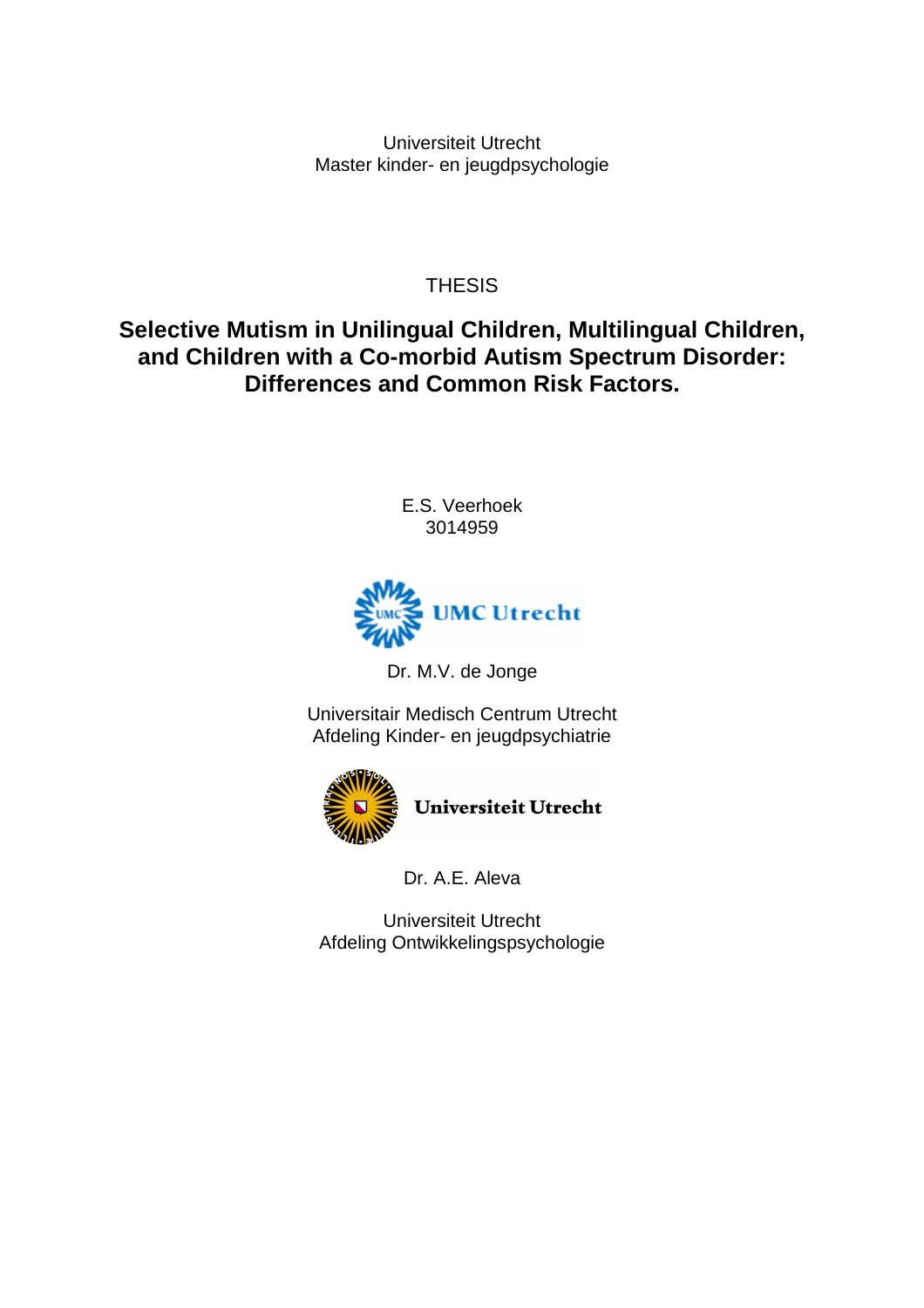Universiteit Utrecht Master kinder- en jeugdpsychologie

**THESIS** 

**Selective Mutism in Unilingual Children, Multilingual Children, and Children with a Co-morbid Autism Spectrum Disorder: Differences and Common Risk Factors.**

> E.S. Veerhoek 3014959



Dr. M.V. de Jonge

Universitair Medisch Centrum Utrecht Afdeling Kinder- en jeugdpsychiatrie



Dr. A.E. Aleva

Universiteit Utrecht Afdeling Ontwikkelingspsychologie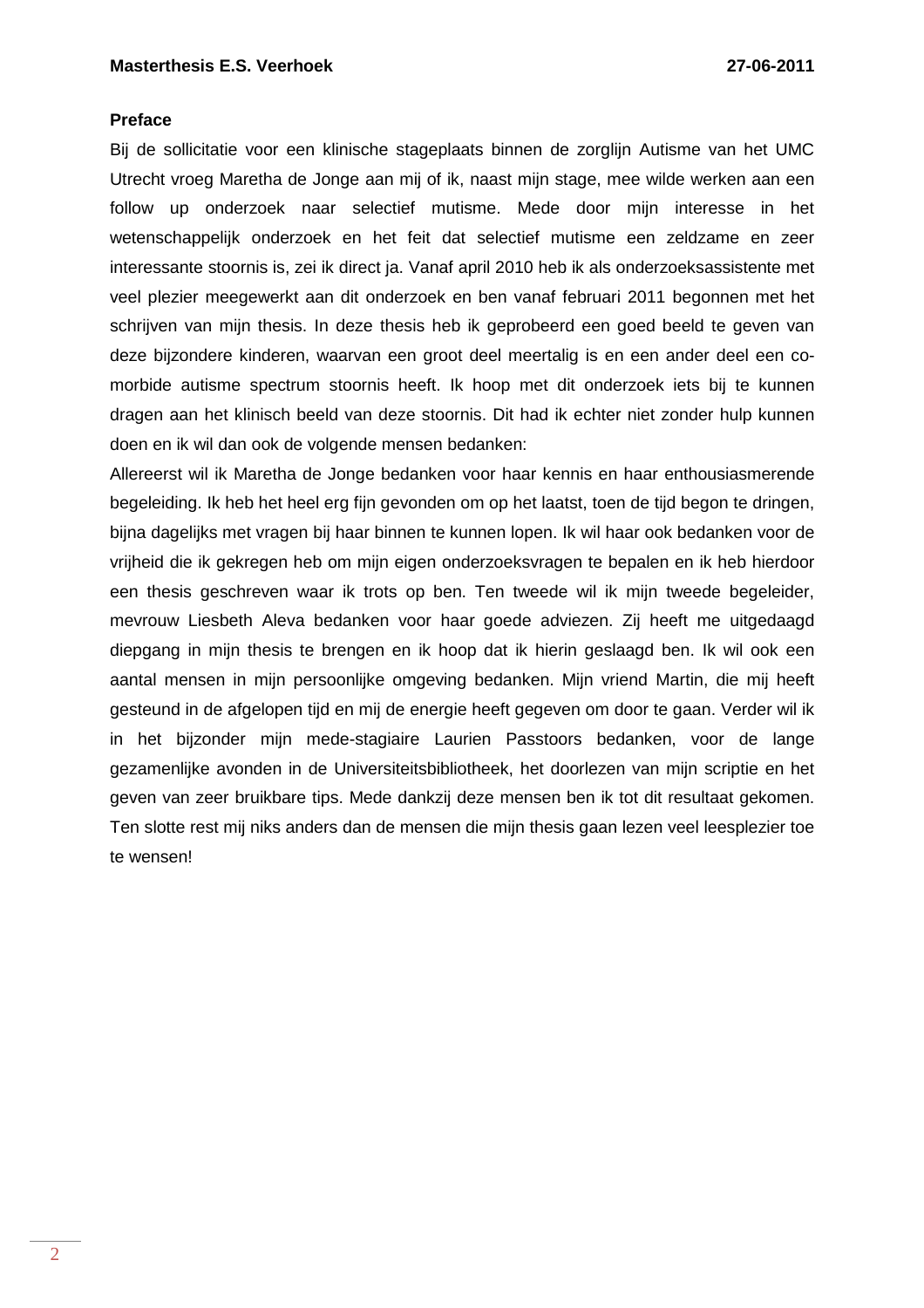#### **Preface**

Bij de sollicitatie voor een klinische stageplaats binnen de zorglijn Autisme van het UMC Utrecht vroeg Maretha de Jonge aan mij of ik, naast mijn stage, mee wilde werken aan een follow up onderzoek naar selectief mutisme. Mede door mijn interesse in het wetenschappelijk onderzoek en het feit dat selectief mutisme een zeldzame en zeer interessante stoornis is, zei ik direct ja. Vanaf april 2010 heb ik als onderzoeksassistente met veel plezier meegewerkt aan dit onderzoek en ben vanaf februari 2011 begonnen met het schrijven van mijn thesis. In deze thesis heb ik geprobeerd een goed beeld te geven van deze bijzondere kinderen, waarvan een groot deel meertalig is en een ander deel een comorbide autisme spectrum stoornis heeft. Ik hoop met dit onderzoek iets bij te kunnen dragen aan het klinisch beeld van deze stoornis. Dit had ik echter niet zonder hulp kunnen doen en ik wil dan ook de volgende mensen bedanken:

Allereerst wil ik Maretha de Jonge bedanken voor haar kennis en haar enthousiasmerende begeleiding. Ik heb het heel erg fijn gevonden om op het laatst, toen de tijd begon te dringen, bijna dagelijks met vragen bij haar binnen te kunnen lopen. Ik wil haar ook bedanken voor de vrijheid die ik gekregen heb om mijn eigen onderzoeksvragen te bepalen en ik heb hierdoor een thesis geschreven waar ik trots op ben. Ten tweede wil ik mijn tweede begeleider, mevrouw Liesbeth Aleva bedanken voor haar goede adviezen. Zij heeft me uitgedaagd diepgang in mijn thesis te brengen en ik hoop dat ik hierin geslaagd ben. Ik wil ook een aantal mensen in mijn persoonlijke omgeving bedanken. Mijn vriend Martin, die mij heeft gesteund in de afgelopen tijd en mij de energie heeft gegeven om door te gaan. Verder wil ik in het bijzonder mijn mede-stagiaire Laurien Passtoors bedanken, voor de lange gezamenlijke avonden in de Universiteitsbibliotheek, het doorlezen van mijn scriptie en het geven van zeer bruikbare tips. Mede dankzij deze mensen ben ik tot dit resultaat gekomen. Ten slotte rest mij niks anders dan de mensen die mijn thesis gaan lezen veel leesplezier toe te wensen!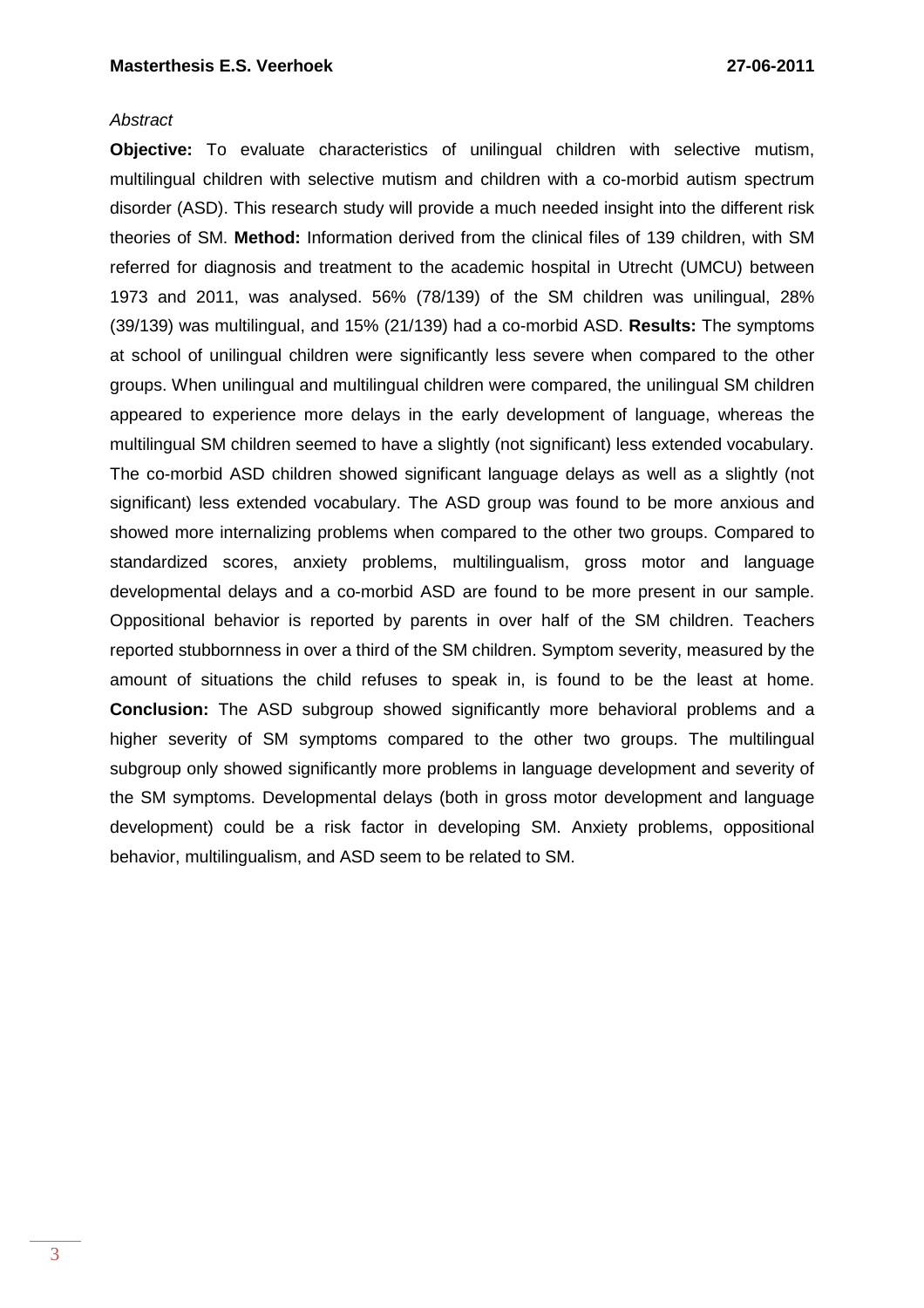#### **Abstract**

**Objective:** To evaluate characteristics of unilingual children with selective mutism, multilingual children with selective mutism and children with a co-morbid autism spectrum disorder (ASD). This research study will provide a much needed insight into the different risk theories of SM. **Method:** Information derived from the clinical files of 139 children, with SM referred for diagnosis and treatment to the academic hospital in Utrecht (UMCU) between 1973 and 2011, was analysed. 56% (78/139) of the SM children was unilingual, 28% (39/139) was multilingual, and 15% (21/139) had a co-morbid ASD. **Results:** The symptoms at school of unilingual children were significantly less severe when compared to the other groups. When unilingual and multilingual children were compared, the unilingual SM children appeared to experience more delays in the early development of language, whereas the multilingual SM children seemed to have a slightly (not significant) less extended vocabulary. The co-morbid ASD children showed significant language delays as well as a slightly (not significant) less extended vocabulary. The ASD group was found to be more anxious and showed more internalizing problems when compared to the other two groups. Compared to standardized scores, anxiety problems, multilingualism, gross motor and language developmental delays and a co-morbid ASD are found to be more present in our sample. Oppositional behavior is reported by parents in over half of the SM children. Teachers reported stubbornness in over a third of the SM children. Symptom severity, measured by the amount of situations the child refuses to speak in, is found to be the least at home. **Conclusion:** The ASD subgroup showed significantly more behavioral problems and a higher severity of SM symptoms compared to the other two groups. The multilingual subgroup only showed significantly more problems in language development and severity of the SM symptoms. Developmental delays (both in gross motor development and language development) could be a risk factor in developing SM. Anxiety problems, oppositional behavior, multilingualism, and ASD seem to be related to SM.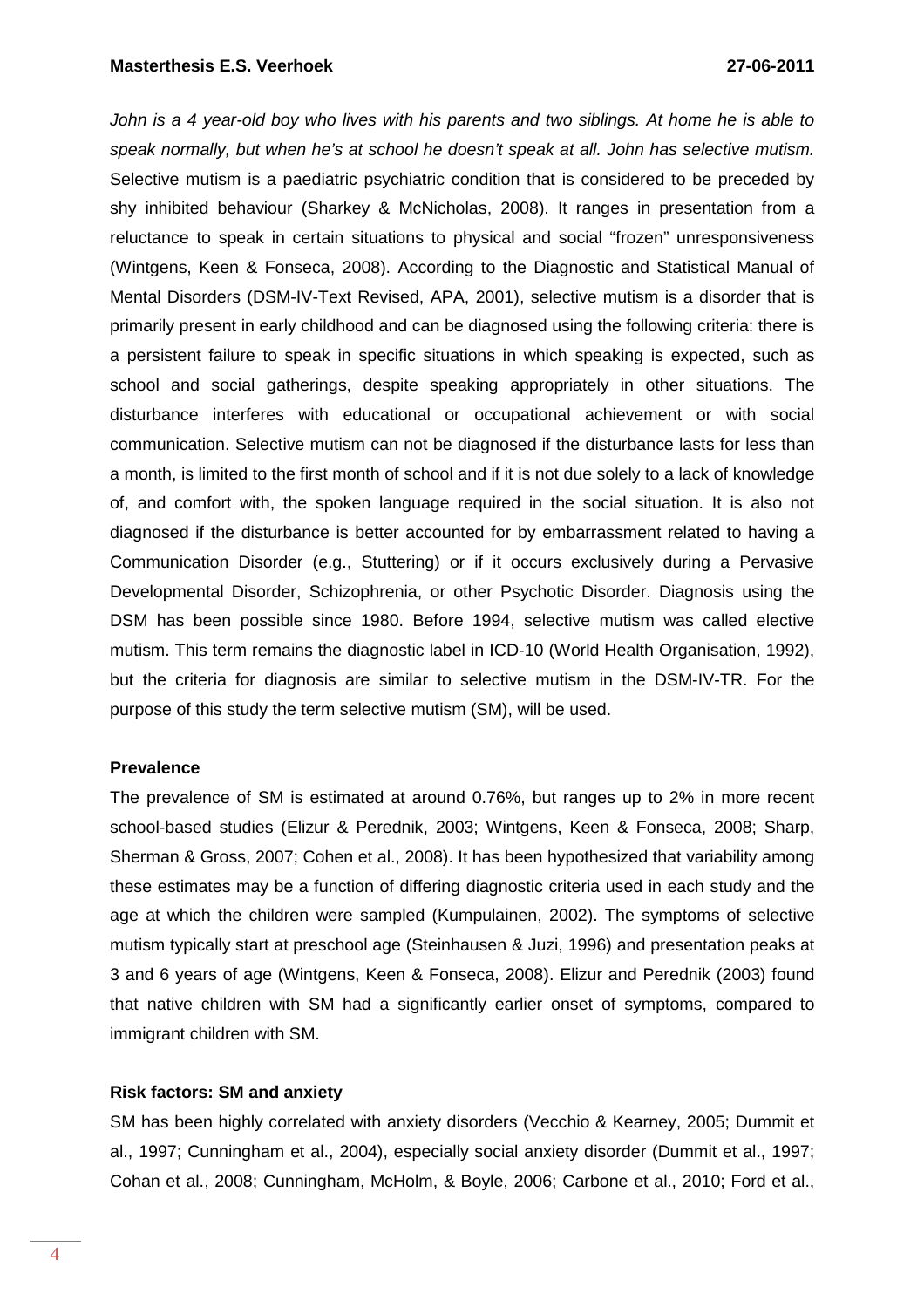John is a 4 year-old boy who lives with his parents and two siblings. At home he is able to speak normally, but when he's at school he doesn't speak at all. John has selective mutism. Selective mutism is a paediatric psychiatric condition that is considered to be preceded by shy inhibited behaviour (Sharkey & McNicholas, 2008). It ranges in presentation from a reluctance to speak in certain situations to physical and social "frozen" unresponsiveness (Wintgens, Keen & Fonseca, 2008). According to the Diagnostic and Statistical Manual of Mental Disorders (DSM-IV-Text Revised, APA, 2001), selective mutism is a disorder that is primarily present in early childhood and can be diagnosed using the following criteria: there is a persistent failure to speak in specific situations in which speaking is expected, such as school and social gatherings, despite speaking appropriately in other situations. The disturbance interferes with educational or occupational achievement or with social communication. Selective mutism can not be diagnosed if the disturbance lasts for less than a month, is limited to the first month of school and if it is not due solely to a lack of knowledge of, and comfort with, the spoken language required in the social situation. It is also not diagnosed if the disturbance is better accounted for by embarrassment related to having a Communication Disorder (e.g., Stuttering) or if it occurs exclusively during a Pervasive Developmental Disorder, Schizophrenia, or other Psychotic Disorder. Diagnosis using the DSM has been possible since 1980. Before 1994, selective mutism was called elective mutism. This term remains the diagnostic label in ICD-10 (World Health Organisation, 1992), but the criteria for diagnosis are similar to selective mutism in the DSM-IV-TR. For the purpose of this study the term selective mutism (SM), will be used.

### **Prevalence**

The prevalence of SM is estimated at around 0.76%, but ranges up to 2% in more recent school-based studies (Elizur & Perednik, 2003; Wintgens, Keen & Fonseca, 2008; Sharp, Sherman & Gross, 2007; Cohen et al., 2008). It has been hypothesized that variability among these estimates may be a function of differing diagnostic criteria used in each study and the age at which the children were sampled (Kumpulainen, 2002). The symptoms of selective mutism typically start at preschool age (Steinhausen & Juzi, 1996) and presentation peaks at 3 and 6 years of age (Wintgens, Keen & Fonseca, 2008). Elizur and Perednik (2003) found that native children with SM had a significantly earlier onset of symptoms, compared to immigrant children with SM.

#### **Risk factors: SM and anxiety**

SM has been highly correlated with anxiety disorders (Vecchio & Kearney, 2005; Dummit et al., 1997; Cunningham et al., 2004), especially social anxiety disorder (Dummit et al., 1997; Cohan et al., 2008; Cunningham, McHolm, & Boyle, 2006; Carbone et al., 2010; Ford et al.,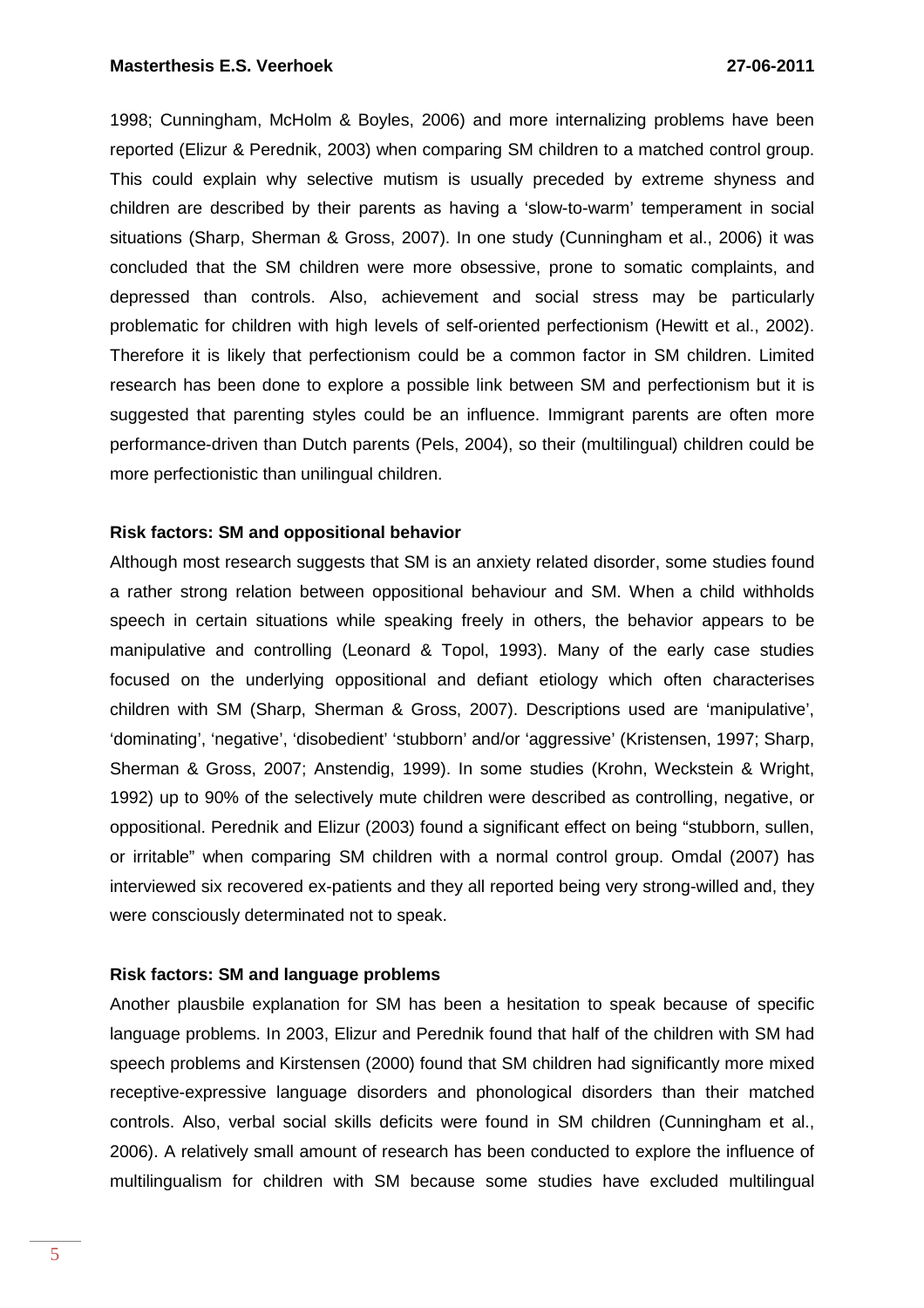1998; Cunningham, McHolm & Boyles, 2006) and more internalizing problems have been reported (Elizur & Perednik, 2003) when comparing SM children to a matched control group. This could explain why selective mutism is usually preceded by extreme shyness and children are described by their parents as having a 'slow-to-warm' temperament in social situations (Sharp, Sherman & Gross, 2007). In one study (Cunningham et al., 2006) it was concluded that the SM children were more obsessive, prone to somatic complaints, and depressed than controls. Also, achievement and social stress may be particularly problematic for children with high levels of self-oriented perfectionism (Hewitt et al., 2002). Therefore it is likely that perfectionism could be a common factor in SM children. Limited research has been done to explore a possible link between SM and perfectionism but it is suggested that parenting styles could be an influence. Immigrant parents are often more performance-driven than Dutch parents (Pels, 2004), so their (multilingual) children could be more perfectionistic than unilingual children.

### **Risk factors: SM and oppositional behavior**

Although most research suggests that SM is an anxiety related disorder, some studies found a rather strong relation between oppositional behaviour and SM. When a child withholds speech in certain situations while speaking freely in others, the behavior appears to be manipulative and controlling (Leonard & Topol, 1993). Many of the early case studies focused on the underlying oppositional and defiant etiology which often characterises children with SM (Sharp, Sherman & Gross, 2007). Descriptions used are 'manipulative', 'dominating', 'negative', 'disobedient' 'stubborn' and/or 'aggressive' (Kristensen, 1997; Sharp, Sherman & Gross, 2007; Anstendig, 1999). In some studies (Krohn, Weckstein & Wright, 1992) up to 90% of the selectively mute children were described as controlling, negative, or oppositional. Perednik and Elizur (2003) found a significant effect on being "stubborn, sullen, or irritable" when comparing SM children with a normal control group. Omdal (2007) has interviewed six recovered ex-patients and they all reported being very strong-willed and, they were consciously determinated not to speak.

#### **Risk factors: SM and language problems**

Another plausbile explanation for SM has been a hesitation to speak because of specific language problems. In 2003, Elizur and Perednik found that half of the children with SM had speech problems and Kirstensen (2000) found that SM children had significantly more mixed receptive-expressive language disorders and phonological disorders than their matched controls. Also, verbal social skills deficits were found in SM children (Cunningham et al., 2006). A relatively small amount of research has been conducted to explore the influence of multilingualism for children with SM because some studies have excluded multilingual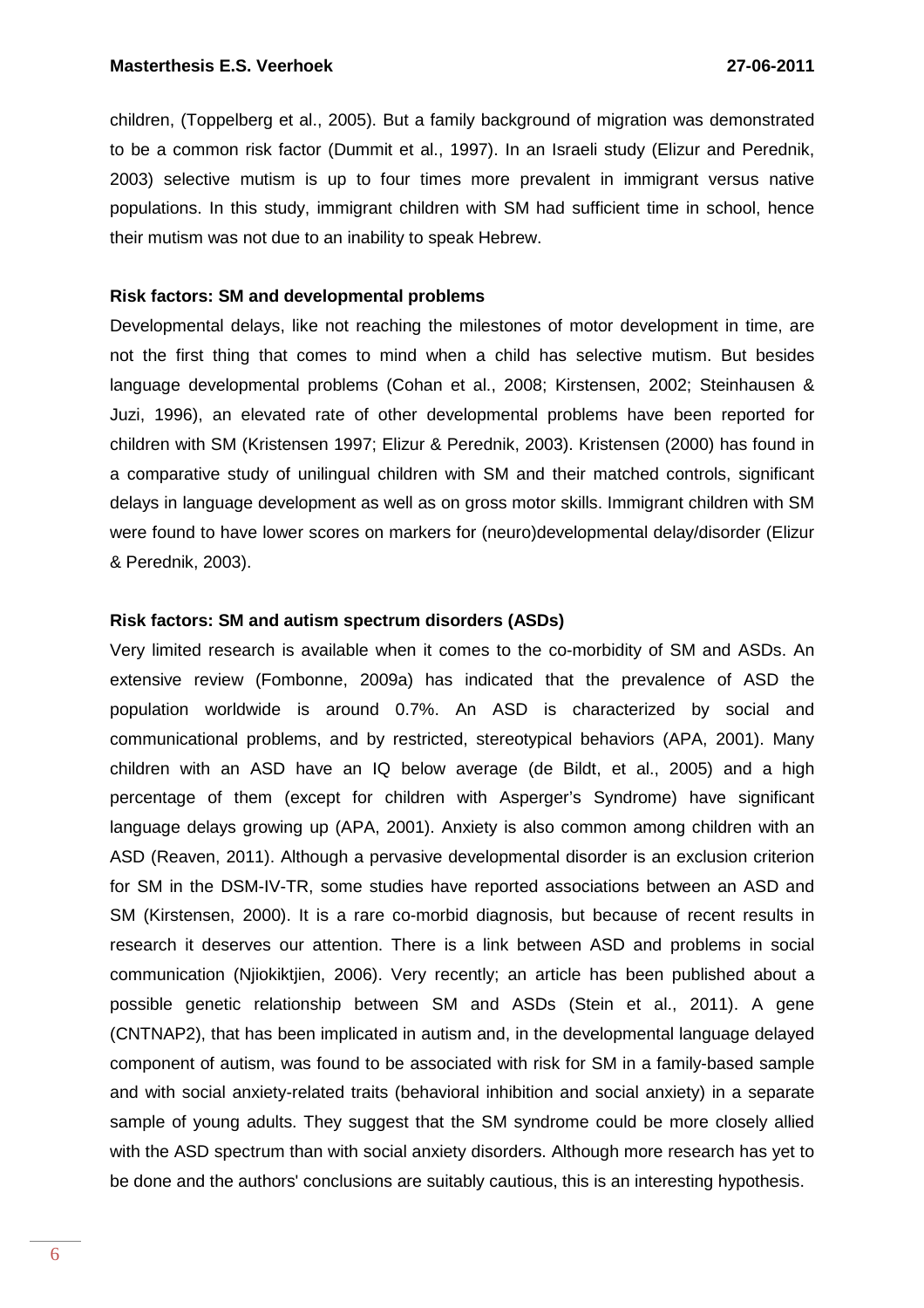children, (Toppelberg et al., 2005). But a family background of migration was demonstrated to be a common risk factor (Dummit et al., 1997). In an Israeli study (Elizur and Perednik, 2003) selective mutism is up to four times more prevalent in immigrant versus native populations. In this study, immigrant children with SM had sufficient time in school, hence their mutism was not due to an inability to speak Hebrew.

### **Risk factors: SM and developmental problems**

Developmental delays, like not reaching the milestones of motor development in time, are not the first thing that comes to mind when a child has selective mutism. But besides language developmental problems (Cohan et al., 2008; Kirstensen, 2002; Steinhausen & Juzi, 1996), an elevated rate of other developmental problems have been reported for children with SM (Kristensen 1997; Elizur & Perednik, 2003). Kristensen (2000) has found in a comparative study of unilingual children with SM and their matched controls, significant delays in language development as well as on gross motor skills. Immigrant children with SM were found to have lower scores on markers for (neuro)developmental delay/disorder (Elizur & Perednik, 2003).

#### **Risk factors: SM and autism spectrum disorders (ASDs)**

Very limited research is available when it comes to the co-morbidity of SM and ASDs. An extensive review (Fombonne, 2009a) has indicated that the prevalence of ASD the population worldwide is around 0.7%. An ASD is characterized by social and communicational problems, and by restricted, stereotypical behaviors (APA, 2001). Many children with an ASD have an IQ below average (de Bildt, et al., 2005) and a high percentage of them (except for children with Asperger's Syndrome) have significant language delays growing up (APA, 2001). Anxiety is also common among children with an ASD (Reaven, 2011). Although a pervasive developmental disorder is an exclusion criterion for SM in the DSM-IV-TR, some studies have reported associations between an ASD and SM (Kirstensen, 2000). It is a rare co-morbid diagnosis, but because of recent results in research it deserves our attention. There is a link between ASD and problems in social communication (Njiokiktjien, 2006). Very recently; an article has been published about a possible genetic relationship between SM and ASDs (Stein et al., 2011). A gene (CNTNAP2), that has been implicated in autism and, in the developmental language delayed component of autism, was found to be associated with risk for SM in a family-based sample and with social anxiety-related traits (behavioral inhibition and social anxiety) in a separate sample of young adults. They suggest that the SM syndrome could be more closely allied with the ASD spectrum than with social anxiety disorders. Although more research has yet to be done and the authors' conclusions are suitably cautious, this is an interesting hypothesis.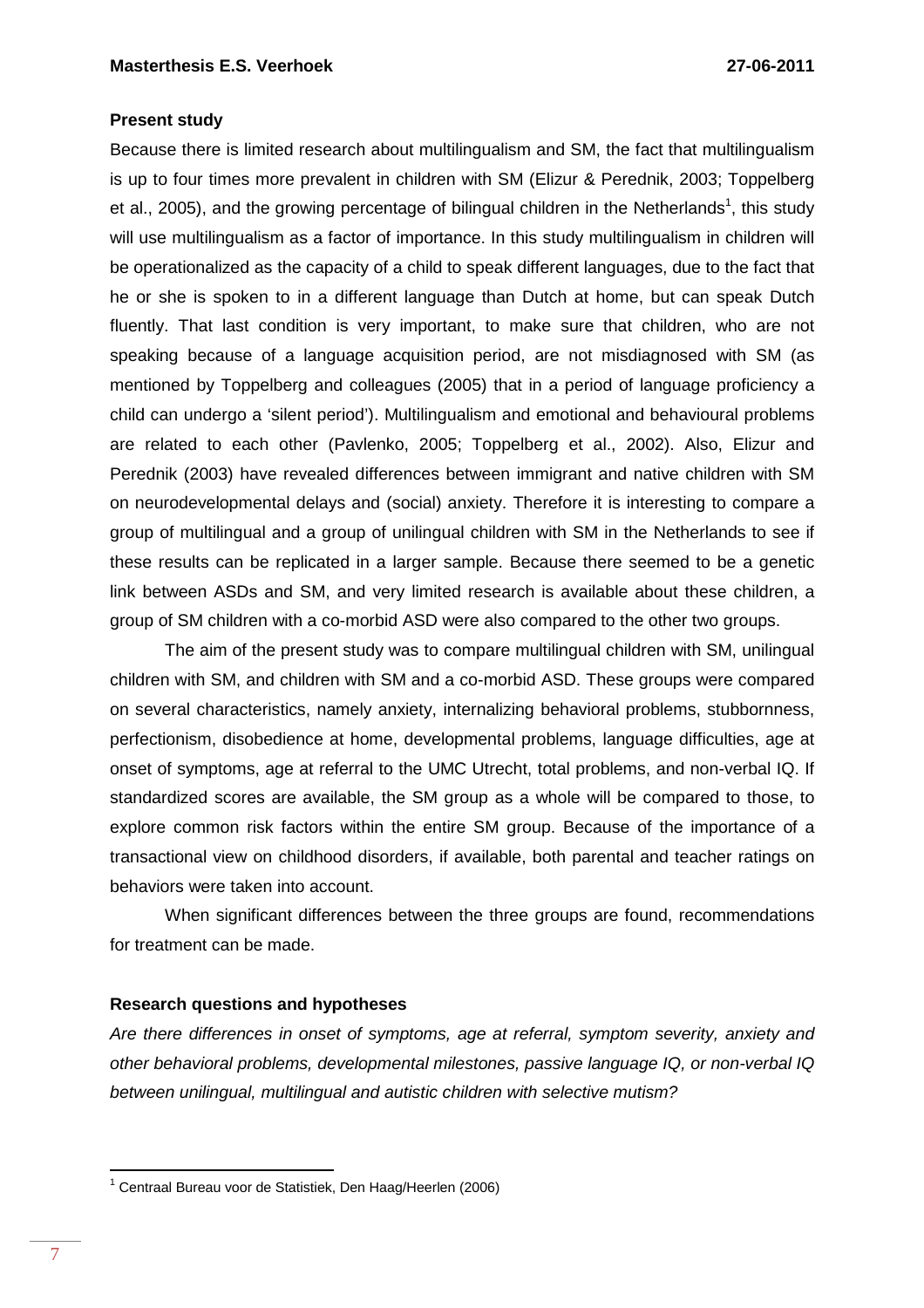# **Present study**

Because there is limited research about multilingualism and SM, the fact that multilingualism is up to four times more prevalent in children with SM (Elizur & Perednik, 2003; Toppelberg et al., 2005), and the growing percentage of bilingual children in the Netherlands<sup>1</sup>, this study will use multilingualism as a factor of importance. In this study multilingualism in children will be operationalized as the capacity of a child to speak different languages, due to the fact that he or she is spoken to in a different language than Dutch at home, but can speak Dutch fluently. That last condition is very important, to make sure that children, who are not speaking because of a language acquisition period, are not misdiagnosed with SM (as mentioned by Toppelberg and colleagues (2005) that in a period of language proficiency a child can undergo a 'silent period'). Multilingualism and emotional and behavioural problems are related to each other (Pavlenko, 2005; Toppelberg et al., 2002). Also, Elizur and Perednik (2003) have revealed differences between immigrant and native children with SM on neurodevelopmental delays and (social) anxiety. Therefore it is interesting to compare a group of multilingual and a group of unilingual children with SM in the Netherlands to see if these results can be replicated in a larger sample. Because there seemed to be a genetic link between ASDs and SM, and very limited research is available about these children, a group of SM children with a co-morbid ASD were also compared to the other two groups.

The aim of the present study was to compare multilingual children with SM, unilingual children with SM, and children with SM and a co-morbid ASD. These groups were compared on several characteristics, namely anxiety, internalizing behavioral problems, stubbornness, perfectionism, disobedience at home, developmental problems, language difficulties, age at onset of symptoms, age at referral to the UMC Utrecht, total problems, and non-verbal IQ. If standardized scores are available, the SM group as a whole will be compared to those, to explore common risk factors within the entire SM group. Because of the importance of a transactional view on childhood disorders, if available, both parental and teacher ratings on behaviors were taken into account.

When significant differences between the three groups are found, recommendations for treatment can be made.

# **Research questions and hypotheses**

Are there differences in onset of symptoms, age at referral, symptom severity, anxiety and other behavioral problems, developmental milestones, passive language IQ, or non-verbal IQ between unilingual, multilingual and autistic children with selective mutism?

 $\overline{a}$ 

<sup>&</sup>lt;sup>1</sup> Centraal Bureau voor de Statistiek, Den Haag/Heerlen (2006)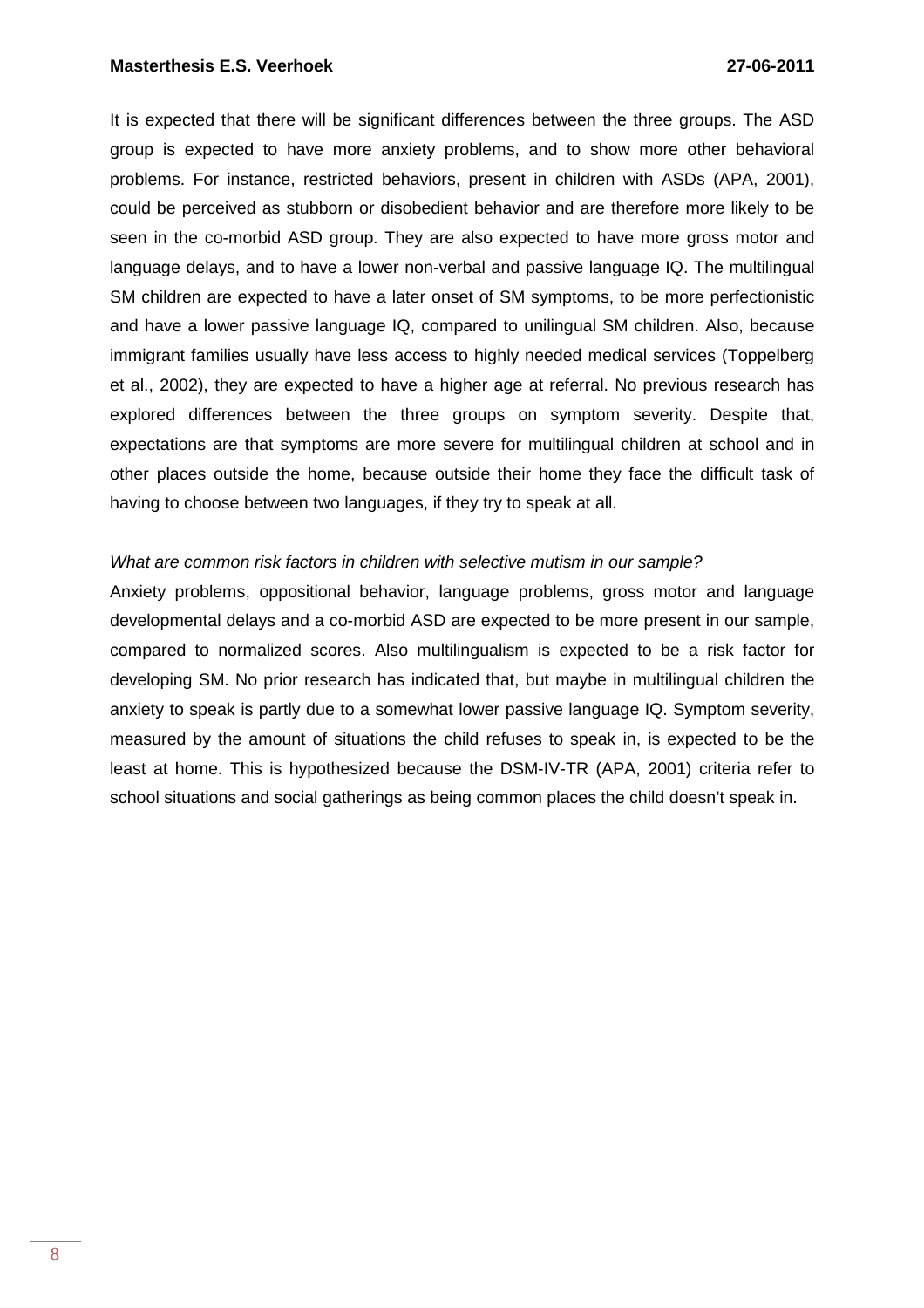It is expected that there will be significant differences between the three groups. The ASD group is expected to have more anxiety problems, and to show more other behavioral problems. For instance, restricted behaviors, present in children with ASDs (APA, 2001), could be perceived as stubborn or disobedient behavior and are therefore more likely to be seen in the co-morbid ASD group. They are also expected to have more gross motor and language delays, and to have a lower non-verbal and passive language IQ. The multilingual SM children are expected to have a later onset of SM symptoms, to be more perfectionistic and have a lower passive language IQ, compared to unilingual SM children. Also, because immigrant families usually have less access to highly needed medical services (Toppelberg et al., 2002), they are expected to have a higher age at referral. No previous research has explored differences between the three groups on symptom severity. Despite that, expectations are that symptoms are more severe for multilingual children at school and in other places outside the home, because outside their home they face the difficult task of having to choose between two languages, if they try to speak at all.

### What are common risk factors in children with selective mutism in our sample?

Anxiety problems, oppositional behavior, language problems, gross motor and language developmental delays and a co-morbid ASD are expected to be more present in our sample, compared to normalized scores. Also multilingualism is expected to be a risk factor for developing SM. No prior research has indicated that, but maybe in multilingual children the anxiety to speak is partly due to a somewhat lower passive language IQ. Symptom severity, measured by the amount of situations the child refuses to speak in, is expected to be the least at home. This is hypothesized because the DSM-IV-TR (APA, 2001) criteria refer to school situations and social gatherings as being common places the child doesn't speak in.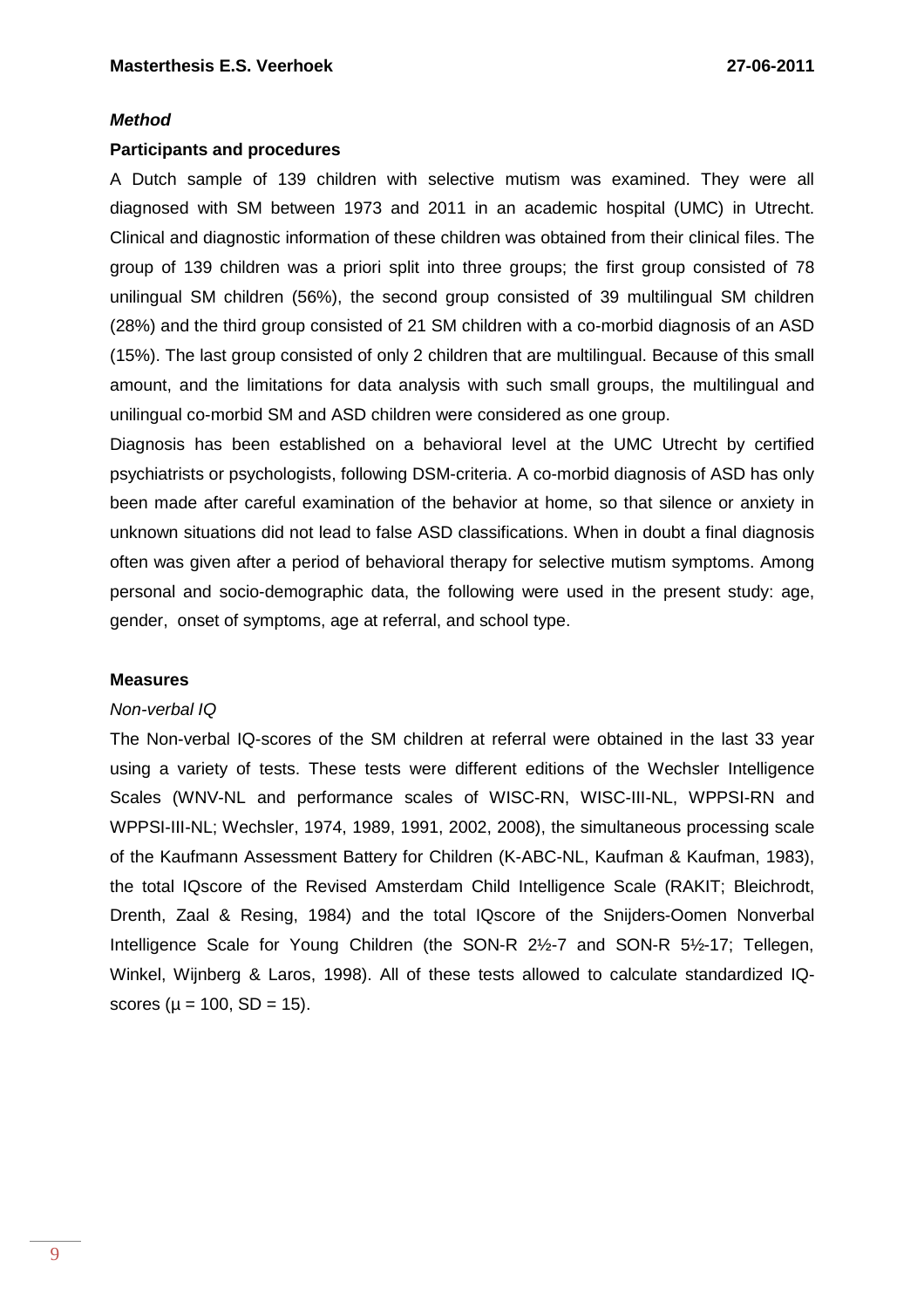#### **Method**

#### **Participants and procedures**

A Dutch sample of 139 children with selective mutism was examined. They were all diagnosed with SM between 1973 and 2011 in an academic hospital (UMC) in Utrecht. Clinical and diagnostic information of these children was obtained from their clinical files. The group of 139 children was a priori split into three groups; the first group consisted of 78 unilingual SM children (56%), the second group consisted of 39 multilingual SM children (28%) and the third group consisted of 21 SM children with a co-morbid diagnosis of an ASD (15%). The last group consisted of only 2 children that are multilingual. Because of this small amount, and the limitations for data analysis with such small groups, the multilingual and unilingual co-morbid SM and ASD children were considered as one group.

Diagnosis has been established on a behavioral level at the UMC Utrecht by certified psychiatrists or psychologists, following DSM-criteria. A co-morbid diagnosis of ASD has only been made after careful examination of the behavior at home, so that silence or anxiety in unknown situations did not lead to false ASD classifications. When in doubt a final diagnosis often was given after a period of behavioral therapy for selective mutism symptoms. Among personal and socio-demographic data, the following were used in the present study: age, gender, onset of symptoms, age at referral, and school type.

#### **Measures**

#### Non-verbal IQ

The Non-verbal IQ-scores of the SM children at referral were obtained in the last 33 year using a variety of tests. These tests were different editions of the Wechsler Intelligence Scales (WNV-NL and performance scales of WISC-RN, WISC-III-NL, WPPSI-RN and WPPSI-III-NL; Wechsler, 1974, 1989, 1991, 2002, 2008), the simultaneous processing scale of the Kaufmann Assessment Battery for Children (K-ABC-NL, Kaufman & Kaufman, 1983), the total IQscore of the Revised Amsterdam Child Intelligence Scale (RAKIT; Bleichrodt, Drenth, Zaal & Resing, 1984) and the total IQscore of the Snijders-Oomen Nonverbal Intelligence Scale for Young Children (the SON-R 2½-7 and SON-R 5½-17; Tellegen, Winkel, Wijnberg & Laros, 1998). All of these tests allowed to calculate standardized IQscores ( $\mu = 100$ , SD = 15).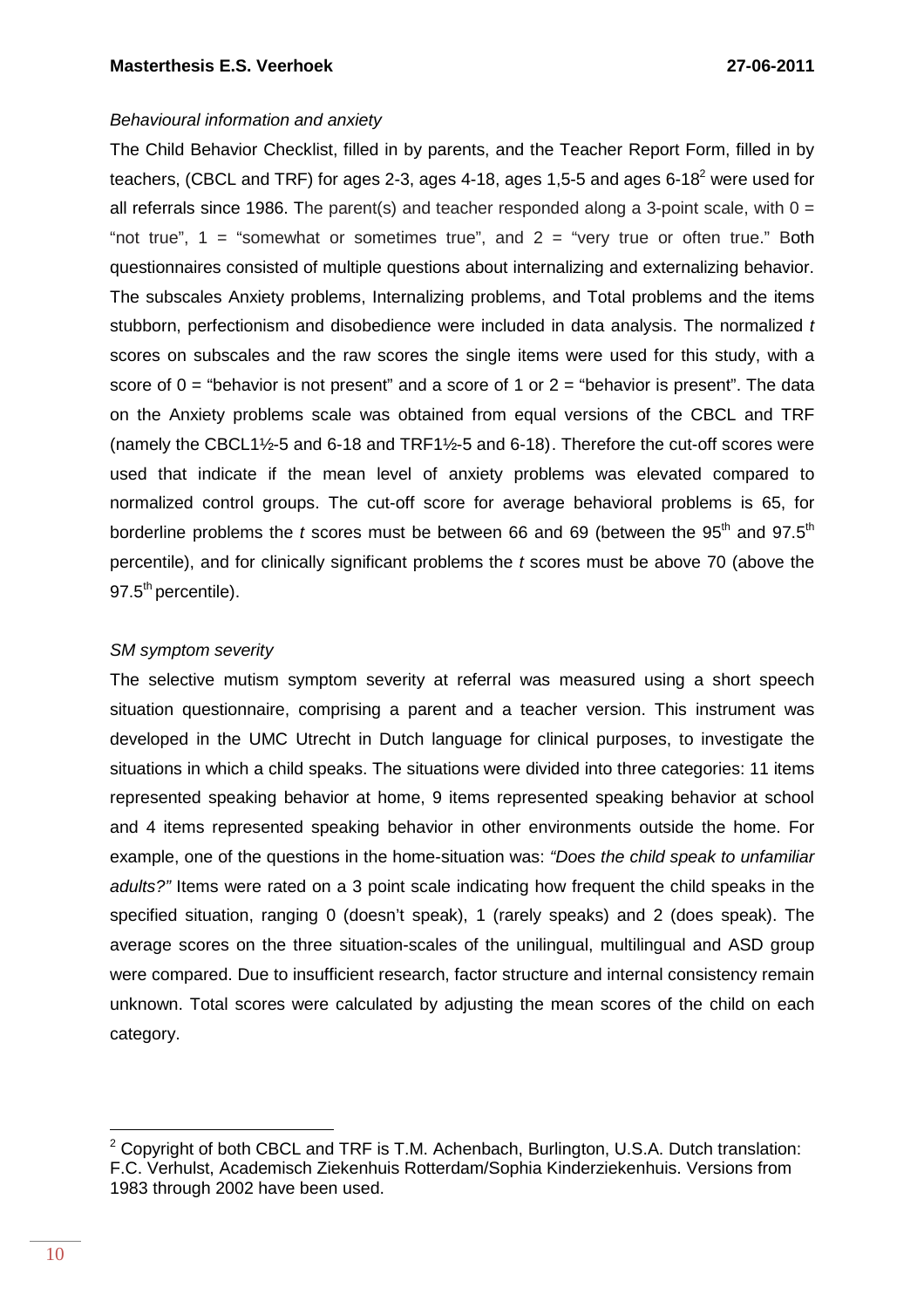# Behavioural information and anxiety

The Child Behavior Checklist, filled in by parents, and the Teacher Report Form, filled in by teachers, (CBCL and TRF) for ages 2-3, ages 4-18, ages 1,5-5 and ages 6-18<sup>2</sup> were used for all referrals since 1986. The parent(s) and teacher responded along a 3-point scale, with  $0 =$ "not true",  $1 =$  "somewhat or sometimes true", and  $2 =$  "very true or often true." Both questionnaires consisted of multiple questions about internalizing and externalizing behavior. The subscales Anxiety problems, Internalizing problems, and Total problems and the items stubborn, perfectionism and disobedience were included in data analysis. The normalized t scores on subscales and the raw scores the single items were used for this study, with a score of  $0 =$  "behavior is not present" and a score of 1 or  $2 =$  "behavior is present". The data on the Anxiety problems scale was obtained from equal versions of the CBCL and TRF (namely the CBCL1½-5 and 6-18 and TRF1½-5 and 6-18). Therefore the cut-off scores were used that indicate if the mean level of anxiety problems was elevated compared to normalized control groups. The cut-off score for average behavioral problems is 65, for borderline problems the t scores must be between 66 and 69 (between the  $95<sup>th</sup>$  and  $97.5<sup>th</sup>$ percentile), and for clinically significant problems the  $t$  scores must be above 70 (above the 97.5<sup>th</sup> percentile).

# SM symptom severity

The selective mutism symptom severity at referral was measured using a short speech situation questionnaire, comprising a parent and a teacher version. This instrument was developed in the UMC Utrecht in Dutch language for clinical purposes, to investigate the situations in which a child speaks. The situations were divided into three categories: 11 items represented speaking behavior at home, 9 items represented speaking behavior at school and 4 items represented speaking behavior in other environments outside the home. For example, one of the questions in the home-situation was: "Does the child speak to unfamiliar adults?" Items were rated on a 3 point scale indicating how frequent the child speaks in the specified situation, ranging 0 (doesn't speak), 1 (rarely speaks) and 2 (does speak). The average scores on the three situation-scales of the unilingual, multilingual and ASD group were compared. Due to insufficient research, factor structure and internal consistency remain unknown. Total scores were calculated by adjusting the mean scores of the child on each category.

 $\overline{a}$ 

<sup>&</sup>lt;sup>2</sup> Copyright of both CBCL and TRF is T.M. Achenbach, Burlington, U.S.A. Dutch translation: F.C. Verhulst, Academisch Ziekenhuis Rotterdam/Sophia Kinderziekenhuis. Versions from 1983 through 2002 have been used.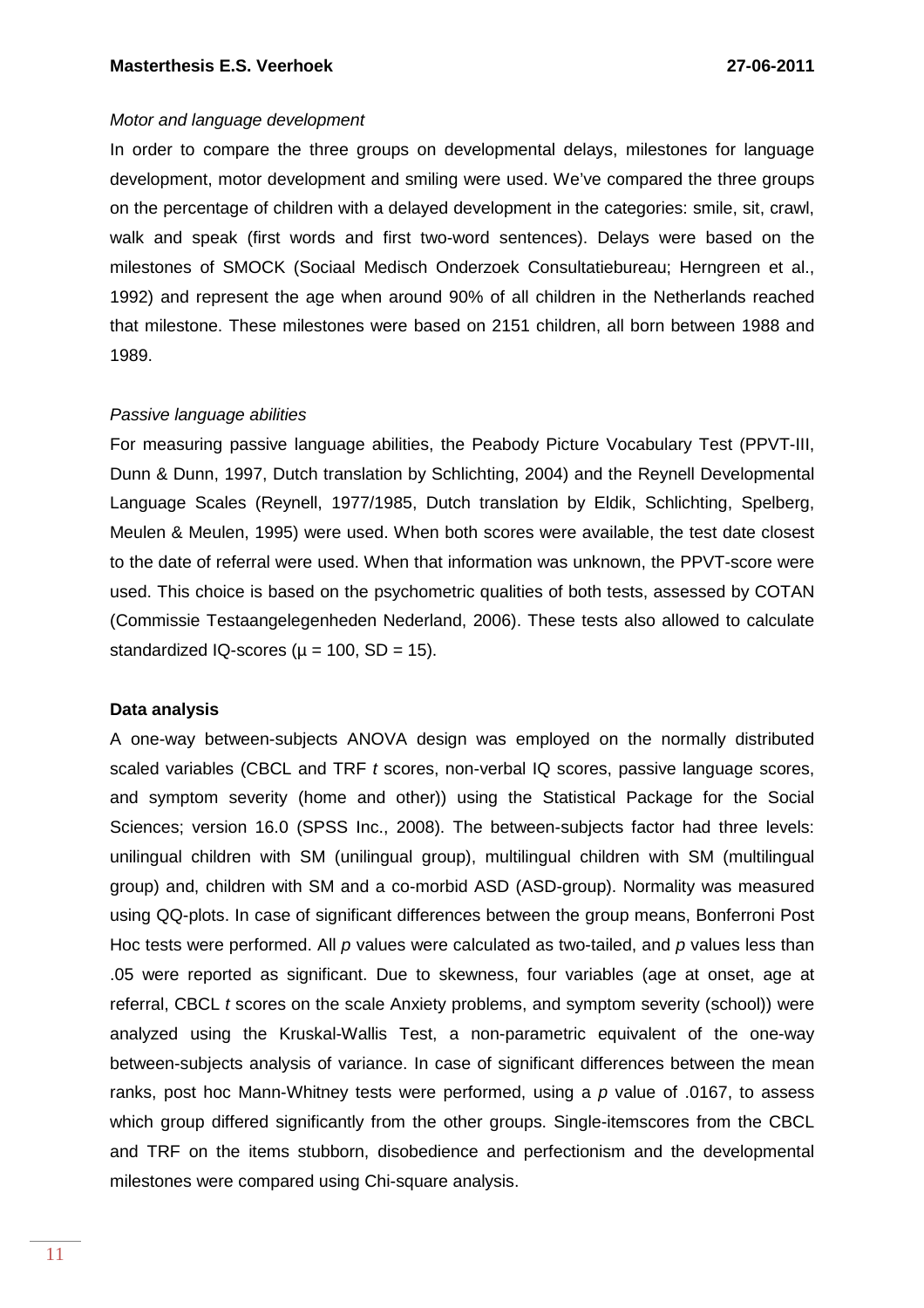# Motor and language development

In order to compare the three groups on developmental delays, milestones for language development, motor development and smiling were used. We've compared the three groups on the percentage of children with a delayed development in the categories: smile, sit, crawl, walk and speak (first words and first two-word sentences). Delays were based on the milestones of SMOCK (Sociaal Medisch Onderzoek Consultatiebureau; Herngreen et al., 1992) and represent the age when around 90% of all children in the Netherlands reached that milestone. These milestones were based on 2151 children, all born between 1988 and 1989.

#### Passive language abilities

For measuring passive language abilities, the Peabody Picture Vocabulary Test (PPVT-III, Dunn & Dunn, 1997, Dutch translation by Schlichting, 2004) and the Reynell Developmental Language Scales (Reynell, 1977/1985, Dutch translation by Eldik, Schlichting, Spelberg, Meulen & Meulen, 1995) were used. When both scores were available, the test date closest to the date of referral were used. When that information was unknown, the PPVT-score were used. This choice is based on the psychometric qualities of both tests, assessed by COTAN (Commissie Testaangelegenheden Nederland, 2006). These tests also allowed to calculate standardized IQ-scores ( $\mu$  = 100, SD = 15).

### **Data analysis**

A one-way between-subjects ANOVA design was employed on the normally distributed scaled variables (CBCL and TRF t scores, non-verbal IQ scores, passive language scores, and symptom severity (home and other)) using the Statistical Package for the Social Sciences; version 16.0 (SPSS Inc., 2008). The between-subjects factor had three levels: unilingual children with SM (unilingual group), multilingual children with SM (multilingual group) and, children with SM and a co-morbid ASD (ASD-group). Normality was measured using QQ-plots. In case of significant differences between the group means, Bonferroni Post Hoc tests were performed. All p values were calculated as two-tailed, and p values less than .05 were reported as significant. Due to skewness, four variables (age at onset, age at referral, CBCL t scores on the scale Anxiety problems, and symptom severity (school)) were analyzed using the Kruskal-Wallis Test, a non-parametric equivalent of the one-way between-subjects analysis of variance. In case of significant differences between the mean ranks, post hoc Mann-Whitney tests were performed, using a  $p$  value of .0167, to assess which group differed significantly from the other groups. Single-itemscores from the CBCL and TRF on the items stubborn, disobedience and perfectionism and the developmental milestones were compared using Chi-square analysis.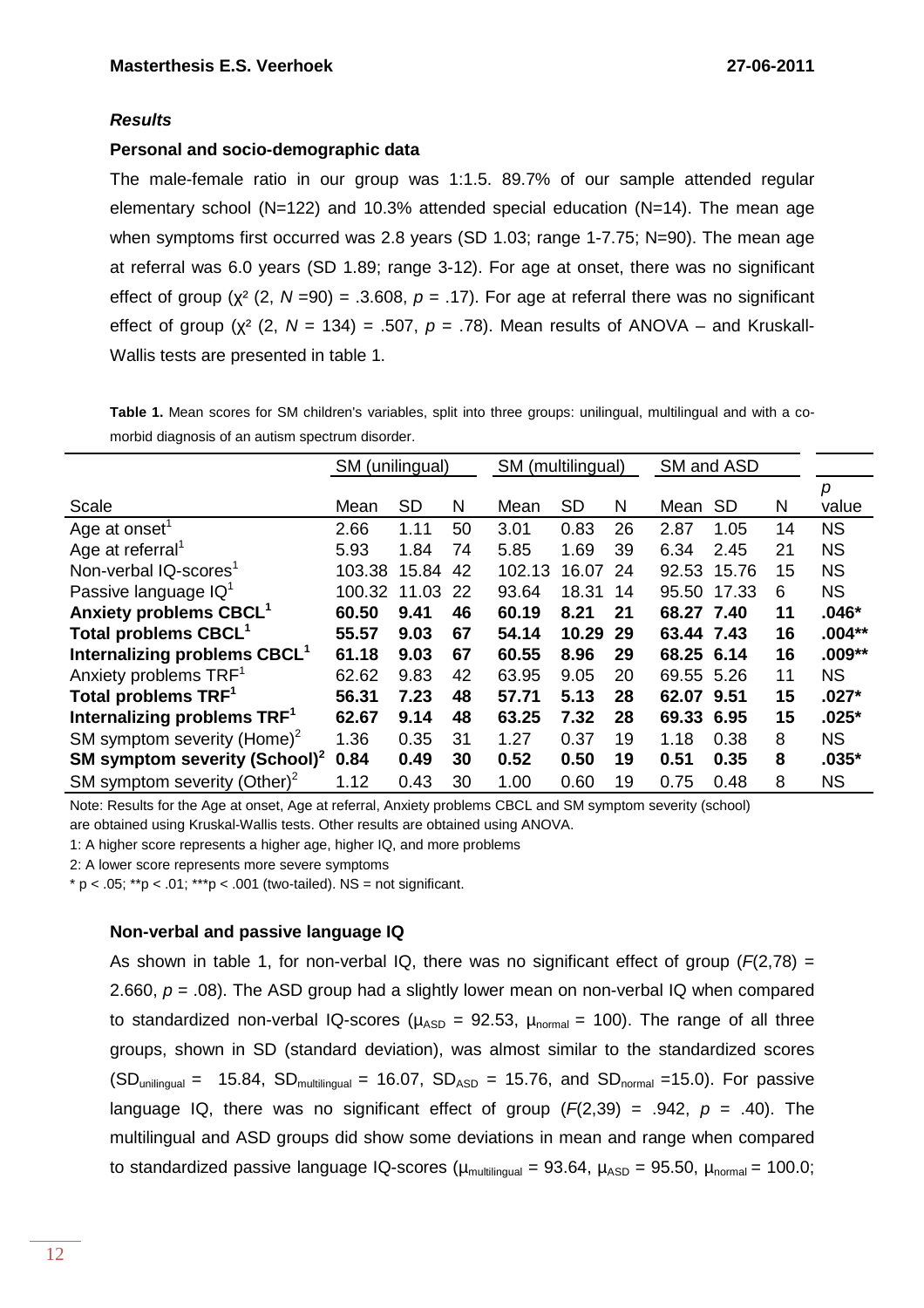# **Results**

# **Personal and socio-demographic data**

The male-female ratio in our group was 1:1.5. 89.7% of our sample attended regular elementary school ( $N=122$ ) and 10.3% attended special education ( $N=14$ ). The mean age when symptoms first occurred was 2.8 years (SD 1.03; range 1-7.75; N=90). The mean age at referral was 6.0 years (SD 1.89; range 3-12). For age at onset, there was no significant effect of group ( $\chi^2$  (2, N = 90) = .3.608, p = .17). For age at referral there was no significant effect of group ( $\chi^2$  (2, N = 134) = .507, p = .78). Mean results of ANOVA – and Kruskall-Wallis tests are presented in table 1.

**Table 1.** Mean scores for SM children's variables, split into three groups: unilingual, multilingual and with a comorbid diagnosis of an autism spectrum disorder.

|                                           | SM (unilingual) |           |    | SM (multilingual) |           | SM and ASD |            |           |    |           |
|-------------------------------------------|-----------------|-----------|----|-------------------|-----------|------------|------------|-----------|----|-----------|
|                                           |                 |           |    |                   |           |            |            |           |    | p         |
| Scale                                     | Mean            | <b>SD</b> | N  | Mean              | <b>SD</b> | N          | Mean       | <b>SD</b> | N  | value     |
| Age at onset <sup>1</sup>                 | 2.66            | 1.11      | 50 | 3.01              | 0.83      | 26         | 2.87       | 1.05      | 14 | <b>NS</b> |
| Age at referral <sup>1</sup>              | 5.93            | 1.84      | 74 | 5.85              | 1.69      | 39         | 6.34       | 2.45      | 21 | <b>NS</b> |
| Non-verbal IQ-scores <sup>1</sup>         | 103.38          | 15.84     | 42 | 102.13            | 16.07     | 24         | 92.53      | 15.76     | 15 | <b>NS</b> |
| Passive language IQ <sup>1</sup>          | 100.32          | 11.03     | 22 | 93.64             | 18.31     | 14         | 95.50      | 17.33     | 6  | <b>NS</b> |
| Anxiety problems CBCL <sup>1</sup>        | 60.50           | 9.41      | 46 | 60.19             | 8.21      | 21         | 68.27 7.40 |           | 11 | $.046*$   |
| Total problems CBCL <sup>1</sup>          | 55.57           | 9.03      | 67 | 54.14             | 10.29     | 29         | 63.44 7.43 |           | 16 | $.004**$  |
| Internalizing problems CBCL <sup>1</sup>  | 61.18           | 9.03      | 67 | 60.55             | 8.96      | 29         | 68.25 6.14 |           | 16 | $.009**$  |
| Anxiety problems TRF <sup>1</sup>         | 62.62           | 9.83      | 42 | 63.95             | 9.05      | 20         | 69.55 5.26 |           | 11 | <b>NS</b> |
| Total problems TRF <sup>1</sup>           | 56.31           | 7.23      | 48 | 57.71             | 5.13      | 28         | 62.07 9.51 |           | 15 | $.027*$   |
| Internalizing problems TRF <sup>1</sup>   | 62.67           | 9.14      | 48 | 63.25             | 7.32      | 28         | 69.33 6.95 |           | 15 | $.025*$   |
| SM symptom severity (Home) <sup>2</sup>   | 1.36            | 0.35      | 31 | 1.27              | 0.37      | 19         | 1.18       | 0.38      | 8  | <b>NS</b> |
| SM symptom severity (School) <sup>2</sup> | 0.84            | 0.49      | 30 | 0.52              | 0.50      | 19         | 0.51       | 0.35      | 8  | $.035*$   |
| SM symptom severity (Other) <sup>2</sup>  | 1.12            | 0.43      | 30 | 1.00              | 0.60      | 19         | 0.75       | 0.48      | 8  | <b>NS</b> |

Note: Results for the Age at onset, Age at referral, Anxiety problems CBCL and SM symptom severity (school)

are obtained using Kruskal-Wallis tests. Other results are obtained using ANOVA.

1: A higher score represents a higher age, higher IQ, and more problems

2: A lower score represents more severe symptoms

\* p < .05; \*\*p < .01; \*\*\*p < .001 (two-tailed). NS = not significant.

# **Non-verbal and passive language IQ**

As shown in table 1, for non-verbal IQ, there was no significant effect of group ( $F(2,78)$  = 2.660,  $p = 0.08$ ). The ASD group had a slightly lower mean on non-verbal IQ when compared to standardized non-verbal IQ-scores ( $\mu_{ASD}$  = 92.53,  $\mu_{normal}$  = 100). The range of all three groups, shown in SD (standard deviation), was almost similar to the standardized scores  $(SD_{\text{unilingual}} = 15.84, SD_{\text{multilingual}} = 16.07, SD_{\text{ASD}} = 15.76, and SD_{\text{normal}} = 15.0$ . For passive language IQ, there was no significant effect of group  $(F(2,39) = .942, p = .40)$ . The multilingual and ASD groups did show some deviations in mean and range when compared to standardized passive language IQ-scores ( $\mu_{\text{multiingular}} = 93.64$ ,  $\mu_{\text{ASD}} = 95.50$ ,  $\mu_{\text{normal}} = 100.0$ ;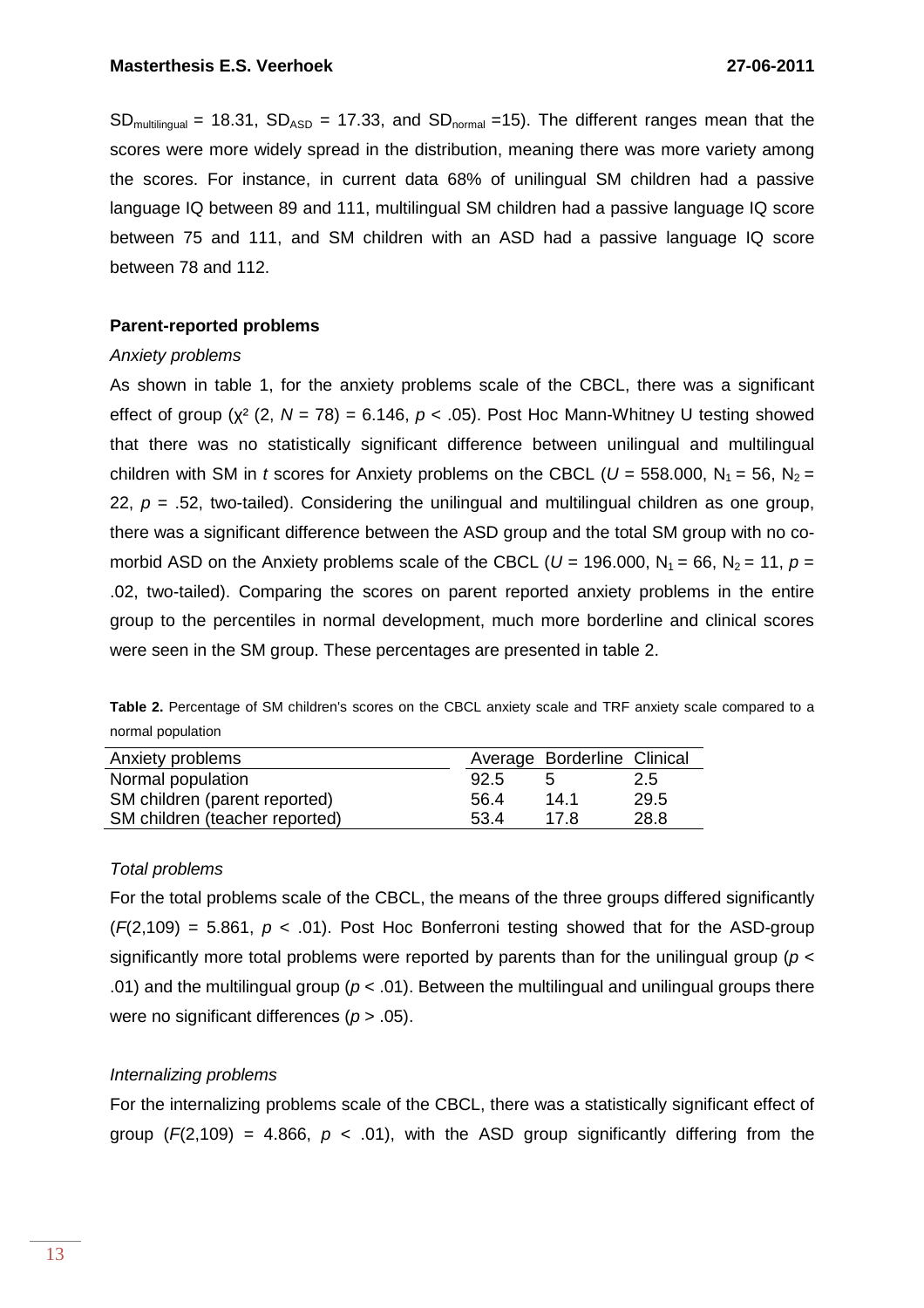$SD_{\text{multilinear}}$  = 18.31,  $SD_{\text{ASD}}$  = 17.33, and  $SD_{\text{normal}}$  =15). The different ranges mean that the scores were more widely spread in the distribution, meaning there was more variety among the scores. For instance, in current data 68% of unilingual SM children had a passive language IQ between 89 and 111, multilingual SM children had a passive language IQ score between 75 and 111, and SM children with an ASD had a passive language IQ score between 78 and 112.

# **Parent-reported problems**

### Anxiety problems

As shown in table 1, for the anxiety problems scale of the CBCL, there was a significant effect of group ( $\chi^2$  (2, N = 78) = 6.146, p < .05). Post Hoc Mann-Whitney U testing showed that there was no statistically significant difference between unilingual and multilingual children with SM in t scores for Anxiety problems on the CBCL ( $U = 558.000$ ,  $N_1 = 56$ ,  $N_2 =$ 22,  $p = 0.52$ , two-tailed). Considering the unilingual and multilingual children as one group, there was a significant difference between the ASD group and the total SM group with no comorbid ASD on the Anxiety problems scale of the CBCL ( $U = 196.000$ ,  $N_1 = 66$ ,  $N_2 = 11$ ,  $p =$ .02, two-tailed). Comparing the scores on parent reported anxiety problems in the entire group to the percentiles in normal development, much more borderline and clinical scores were seen in the SM group. These percentages are presented in table 2.

**Table 2.** Percentage of SM children's scores on the CBCL anxiety scale and TRF anxiety scale compared to a normal population

| Anxiety problems               |      | Average Borderline Clinical |      |
|--------------------------------|------|-----------------------------|------|
| Normal population              | 92.5 |                             | 2.5  |
| SM children (parent reported)  | 56.4 | 14.1                        | 29.5 |
| SM children (teacher reported) | 53.4 | 17 R                        | 28.8 |

### Total problems

For the total problems scale of the CBCL, the means of the three groups differed significantly  $(F(2,109) = 5.861, p < .01)$ . Post Hoc Bonferroni testing showed that for the ASD-group significantly more total problems were reported by parents than for the unilingual group ( $p <$ .01) and the multilingual group ( $p < .01$ ). Between the multilingual and unilingual groups there were no significant differences ( $p > .05$ ).

# Internalizing problems

For the internalizing problems scale of the CBCL, there was a statistically significant effect of group  $(F(2, 109) = 4.866, p < .01)$ , with the ASD group significantly differing from the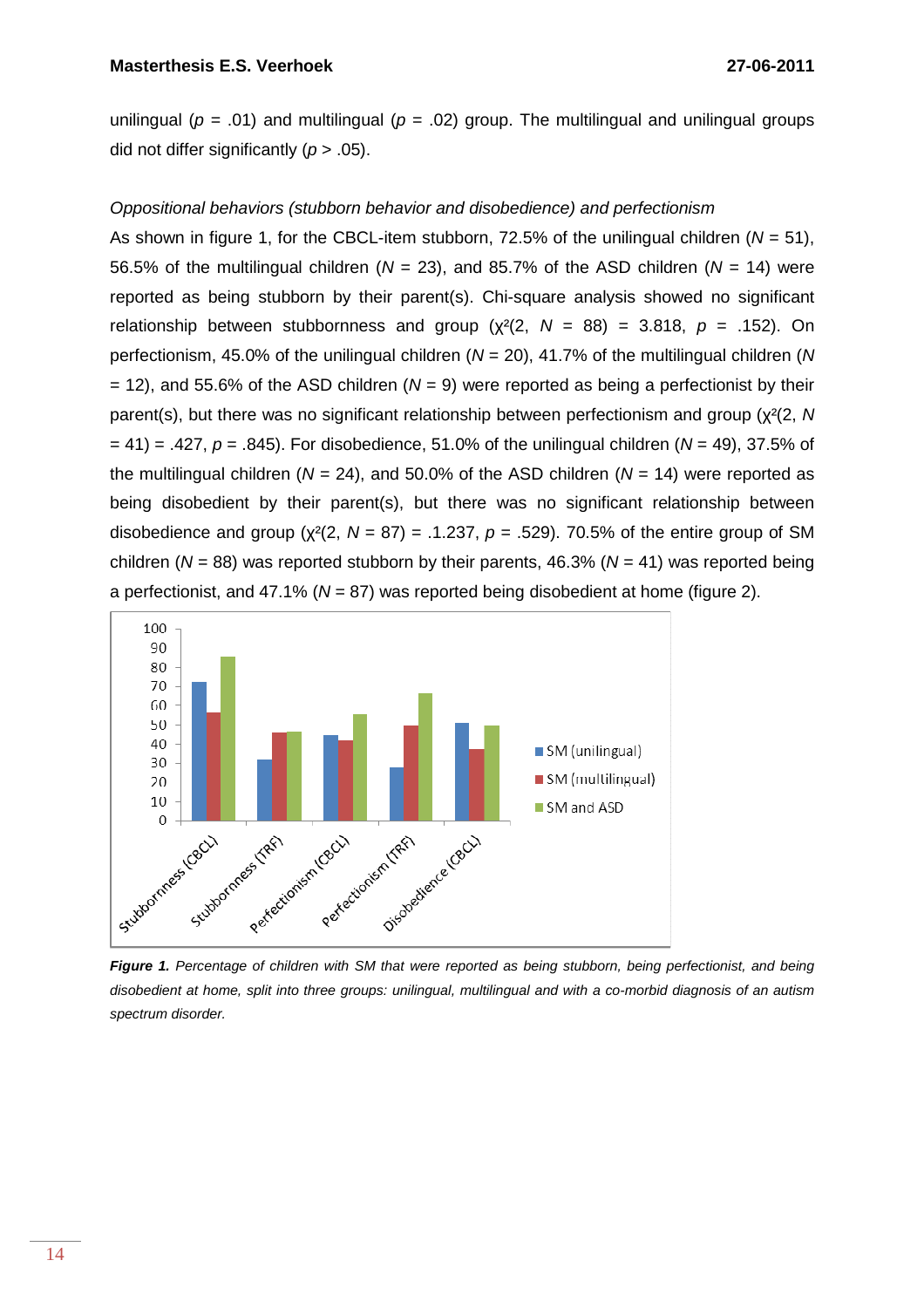unilingual ( $p = .01$ ) and multilingual ( $p = .02$ ) group. The multilingual and unilingual groups did not differ significantly  $(p > .05)$ .

# Oppositional behaviors (stubborn behavior and disobedience) and perfectionism

As shown in figure 1, for the CBCL-item stubborn, 72.5% of the unilingual children ( $N = 51$ ), 56.5% of the multilingual children ( $N = 23$ ), and 85.7% of the ASD children ( $N = 14$ ) were reported as being stubborn by their parent(s). Chi-square analysis showed no significant relationship between stubbornness and group ( $\chi^2(2, N = 88) = 3.818$ ,  $p = .152$ ). On perfectionism, 45.0% of the unilingual children ( $N = 20$ ), 41.7% of the multilingual children (N  $= 12$ ), and 55.6% of the ASD children (N = 9) were reported as being a perfectionist by their parent(s), but there was no significant relationship between perfectionism and group (χ²(2, N  $= 41$ ) = .427, p = .845). For disobedience, 51.0% of the unilingual children (N = 49), 37.5% of the multilingual children ( $N = 24$ ), and 50.0% of the ASD children ( $N = 14$ ) were reported as being disobedient by their parent(s), but there was no significant relationship between disobedience and group ( $\chi^2(2, N = 87) = .1.237$ ,  $p = .529$ ). 70.5% of the entire group of SM children ( $N = 88$ ) was reported stubborn by their parents, 46.3% ( $N = 41$ ) was reported being a perfectionist, and 47.1% ( $N = 87$ ) was reported being disobedient at home (figure 2).



Figure 1. Percentage of children with SM that were reported as being stubborn, being perfectionist, and being disobedient at home, split into three groups: unilingual, multilingual and with a co-morbid diagnosis of an autism spectrum disorder.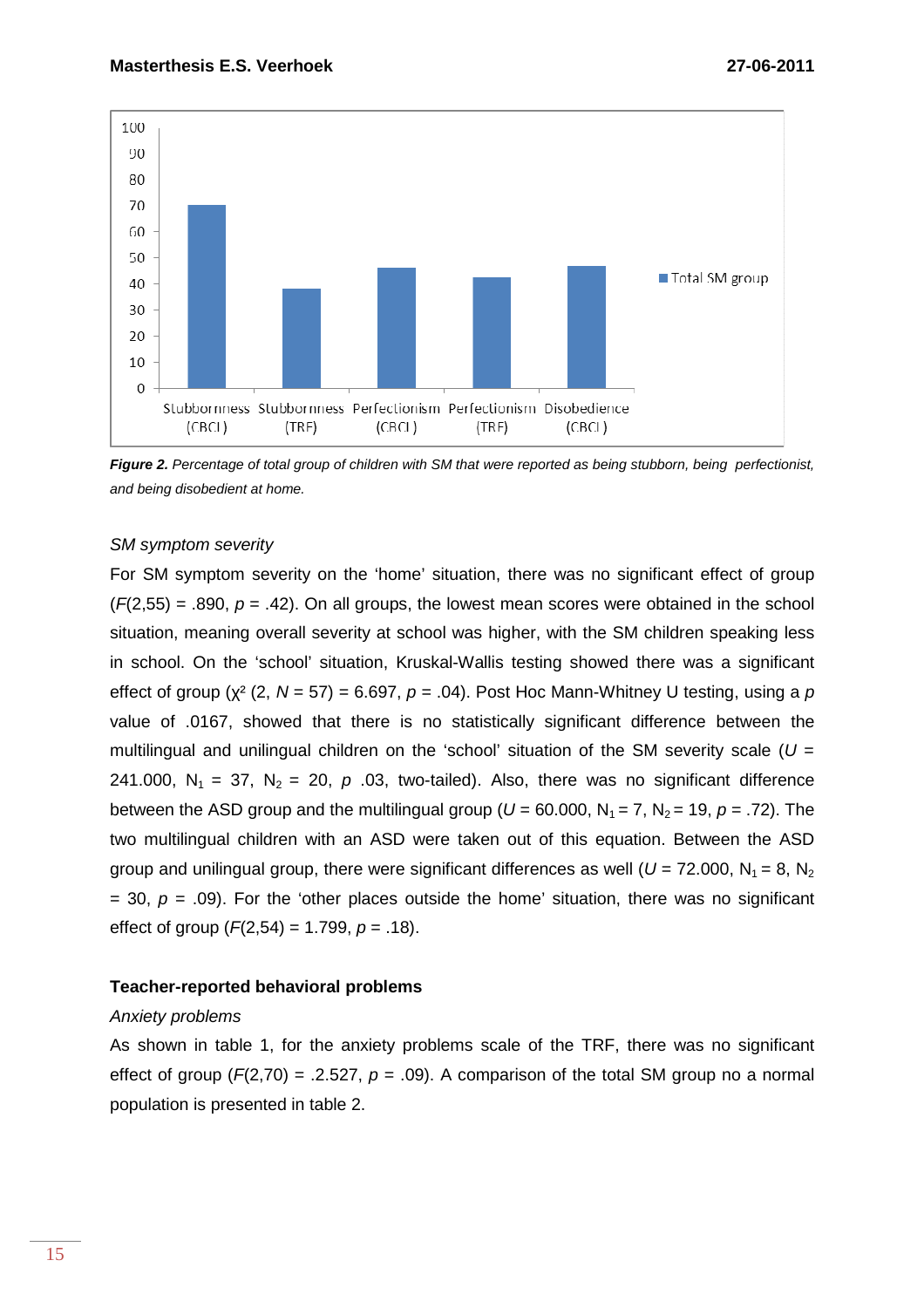

**Figure 2.** Percentage of total group of children with SM that were reported as being stubborn, being perfectionist, and being disobedient at home.

#### SM symptom severity

For SM symptom severity on the 'home' situation, there was no significant effect of group  $(F(2,55) = .890, p = .42)$ . On all groups, the lowest mean scores were obtained in the school situation, meaning overall severity at school was higher, with the SM children speaking less in school. On the 'school' situation, Kruskal-Wallis testing showed there was a significant effect of group ( $\chi^2$  (2, N = 57) = 6.697, p = .04). Post Hoc Mann-Whitney U testing, using a p value of .0167, showed that there is no statistically significant difference between the multilingual and unilingual children on the 'school' situation of the SM severity scale ( $U =$ 241.000,  $N_1 = 37$ ,  $N_2 = 20$ , p .03, two-tailed). Also, there was no significant difference between the ASD group and the multilingual group ( $U = 60.000$ ,  $N_1 = 7$ ,  $N_2 = 19$ ,  $p = .72$ ). The two multilingual children with an ASD were taken out of this equation. Between the ASD group and unilingual group, there were significant differences as well ( $U = 72.000$ ,  $N_1 = 8$ ,  $N_2$  $=$  30,  $p = .09$ ). For the 'other places outside the home' situation, there was no significant effect of group  $(F(2,54) = 1.799, p = .18)$ .

### **Teacher-reported behavioral problems**

#### Anxiety problems

As shown in table 1, for the anxiety problems scale of the TRF, there was no significant effect of group ( $F(2,70) = .2.527$ ,  $p = .09$ ). A comparison of the total SM group no a normal population is presented in table 2.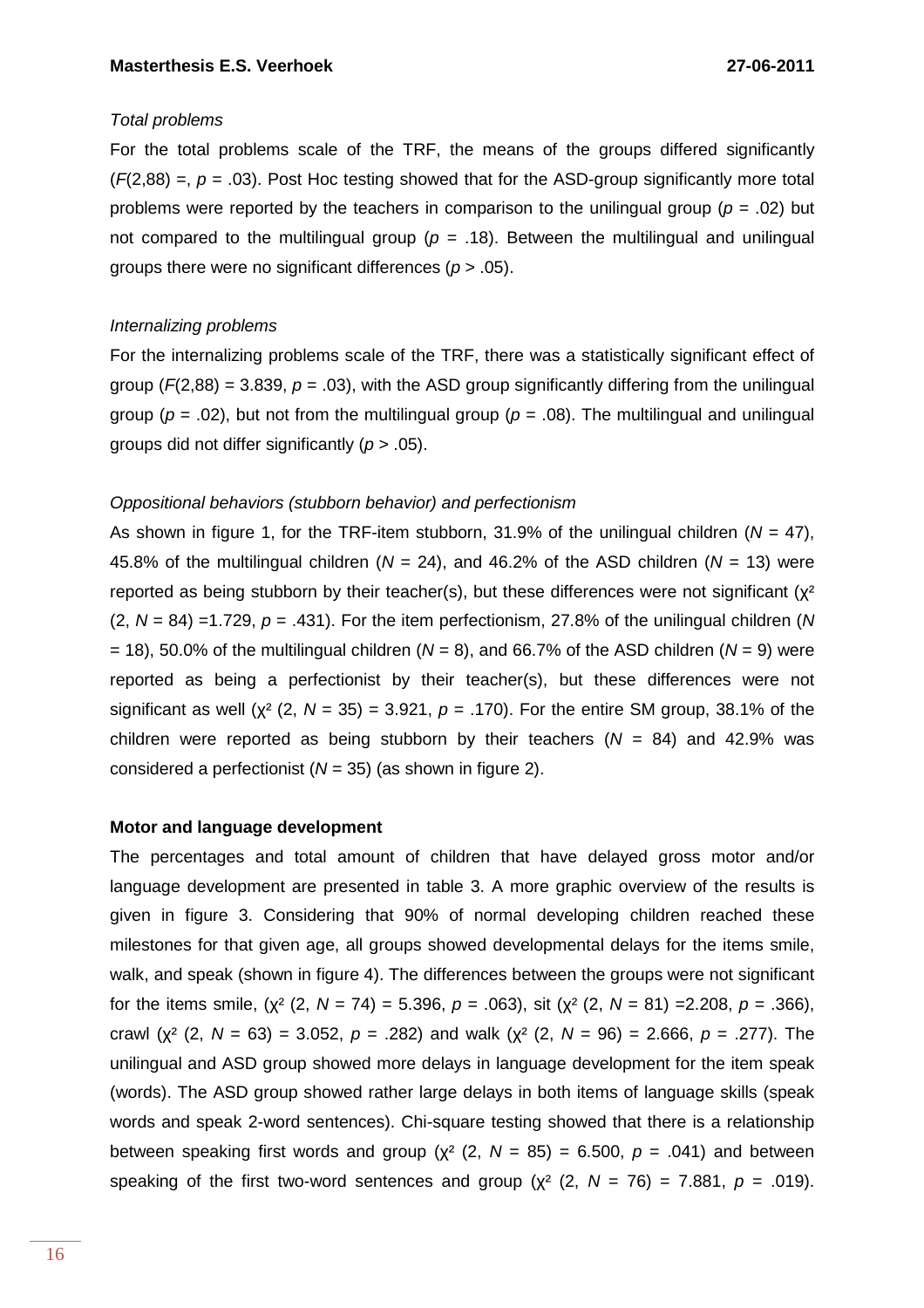# Total problems

For the total problems scale of the TRF, the means of the groups differed significantly  $(F(2,88) =, p = .03)$ . Post Hoc testing showed that for the ASD-group significantly more total problems were reported by the teachers in comparison to the unilingual group ( $p = .02$ ) but not compared to the multilingual group ( $p = .18$ ). Between the multilingual and unilingual groups there were no significant differences ( $p > .05$ ).

# Internalizing problems

For the internalizing problems scale of the TRF, there was a statistically significant effect of group ( $F(2,88) = 3.839$ ,  $p = .03$ ), with the ASD group significantly differing from the unilingual group ( $p = .02$ ), but not from the multilingual group ( $p = .08$ ). The multilingual and unilingual groups did not differ significantly ( $p > .05$ ).

# Oppositional behaviors (stubborn behavior) and perfectionism

As shown in figure 1, for the TRF-item stubborn, 31.9% of the unilingual children ( $N = 47$ ), 45.8% of the multilingual children ( $N = 24$ ), and 46.2% of the ASD children ( $N = 13$ ) were reported as being stubborn by their teacher(s), but these differences were not significant ( $x^2$  $(2, N = 84) = 1.729$ ,  $p = .431$ . For the item perfectionism, 27.8% of the unilingual children (N)  $= 18$ ), 50.0% of the multilingual children (N = 8), and 66.7% of the ASD children (N = 9) were reported as being a perfectionist by their teacher(s), but these differences were not significant as well ( $\chi^2$  (2, N = 35) = 3.921, p = .170). For the entire SM group, 38.1% of the children were reported as being stubborn by their teachers  $(N = 84)$  and 42.9% was considered a perfectionist ( $N = 35$ ) (as shown in figure 2).

# **Motor and language development**

The percentages and total amount of children that have delayed gross motor and/or language development are presented in table 3. A more graphic overview of the results is given in figure 3. Considering that 90% of normal developing children reached these milestones for that given age, all groups showed developmental delays for the items smile, walk, and speak (shown in figure 4). The differences between the groups were not significant for the items smile,  $(x^{2} (2, N = 74) = 5.396, p = .063)$ , sit  $(x^{2} (2, N = 81) = 2.208, p = .366)$ , crawl ( $x^2$  (2, N = 63) = 3.052, p = .282) and walk ( $x^2$  (2, N = 96) = 2.666, p = .277). The unilingual and ASD group showed more delays in language development for the item speak (words). The ASD group showed rather large delays in both items of language skills (speak words and speak 2-word sentences). Chi-square testing showed that there is a relationship between speaking first words and group ( $\chi^2$  (2, N = 85) = 6.500, p = .041) and between speaking of the first two-word sentences and group ( $\chi^2$  (2, N = 76) = 7.881, p = .019).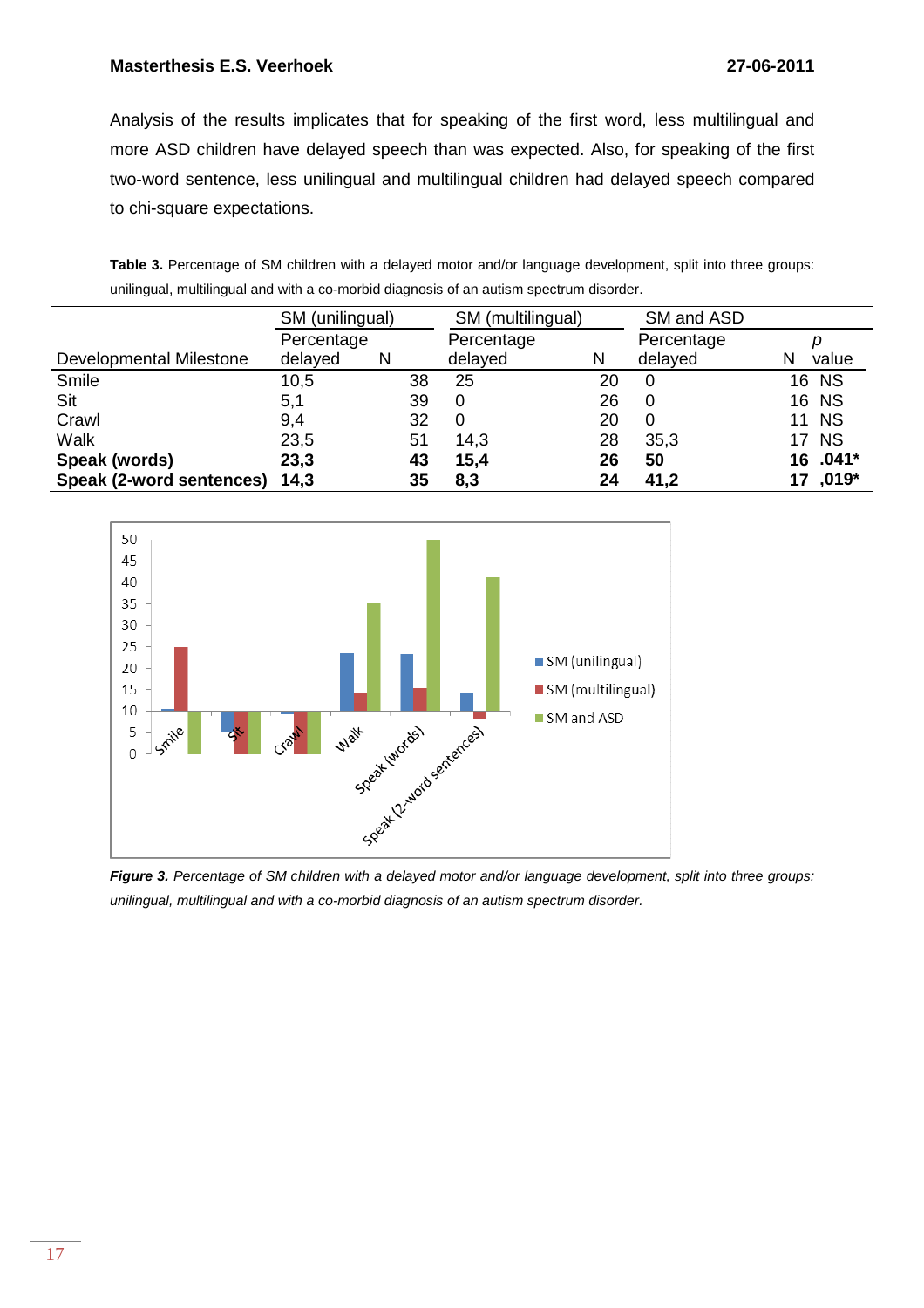Analysis of the results implicates that for speaking of the first word, less multilingual and more ASD children have delayed speech than was expected. Also, for speaking of the first two-word sentence, less unilingual and multilingual children had delayed speech compared to chi-square expectations.

| Table 3. Percentage of SM children with a delayed motor and/or language development, split into three groups: |  |  |  |  |  |
|---------------------------------------------------------------------------------------------------------------|--|--|--|--|--|
| unilingual, multilingual and with a co-morbid diagnosis of an autism spectrum disorder.                       |  |  |  |  |  |

|                                | SM (unilingual) |    | SM (multilingual) |    | SM and ASD |              |
|--------------------------------|-----------------|----|-------------------|----|------------|--------------|
|                                | Percentage      |    | Percentage        |    | Percentage |              |
| <b>Developmental Milestone</b> | delayed         | N  | delayed           | N  | delayed    | value        |
| Smile                          | 10,5            | 38 | 25                | 20 | 0          | 16 NS        |
| Sit                            | 5,1             | 39 |                   | 26 | 0          | 16 NS        |
| Crawl                          | 9,4             | 32 |                   | 20 | 0          | <b>11 NS</b> |
| Walk                           | 23,5            | 51 | 14,3              | 28 | 35,3       | <b>17 NS</b> |
| Speak (words)                  | 23,3            | 43 | 15,4              | 26 | 50         | 16 .041*     |
| Speak (2-word sentences)       | 14,3            | 35 | 8,3               | 24 | 41,2       | 17,019*      |



Figure 3. Percentage of SM children with a delayed motor and/or language development, split into three groups: unilingual, multilingual and with a co-morbid diagnosis of an autism spectrum disorder.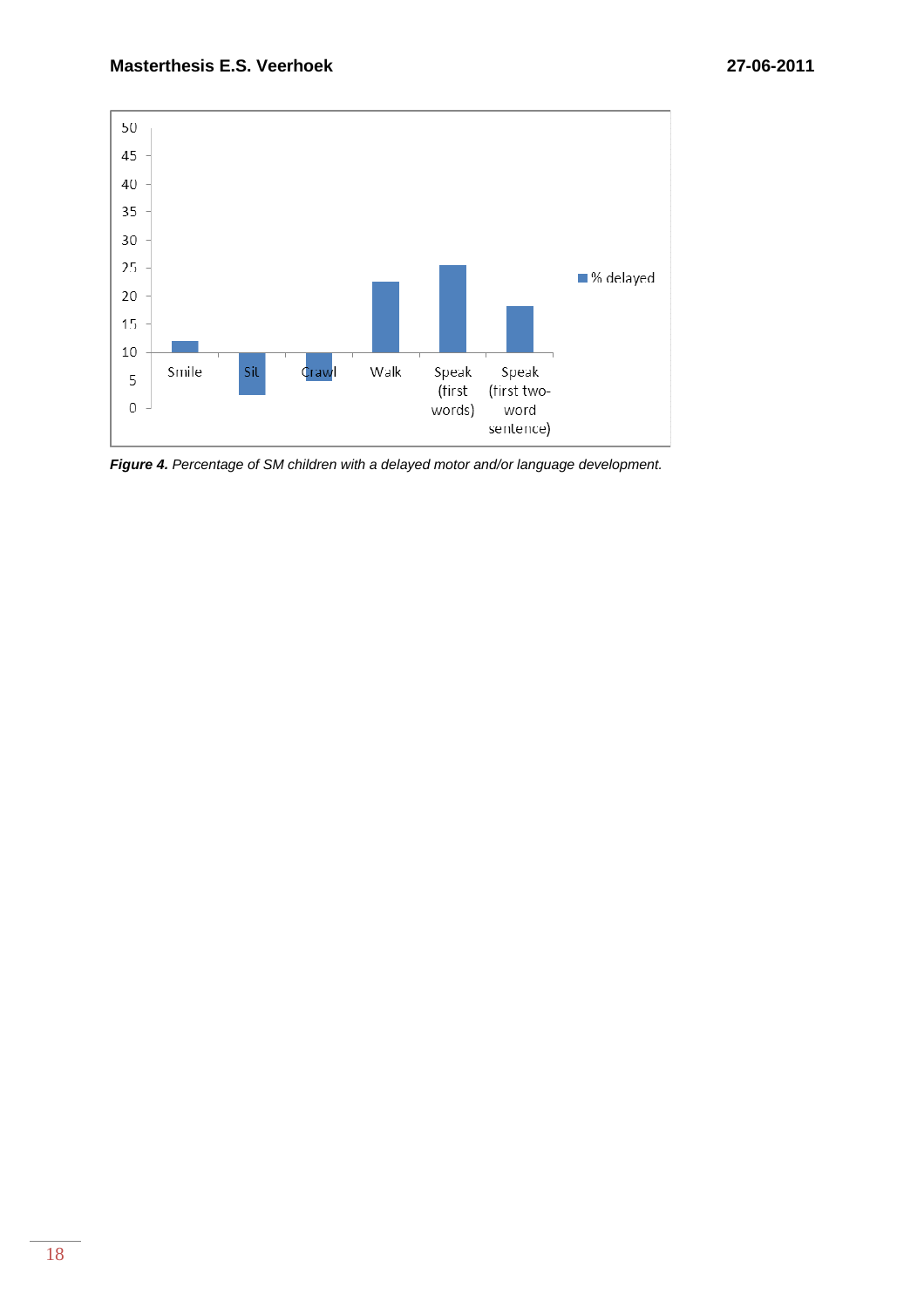

**Figure 4.** Percentage of SM children with a delayed motor and/or language development.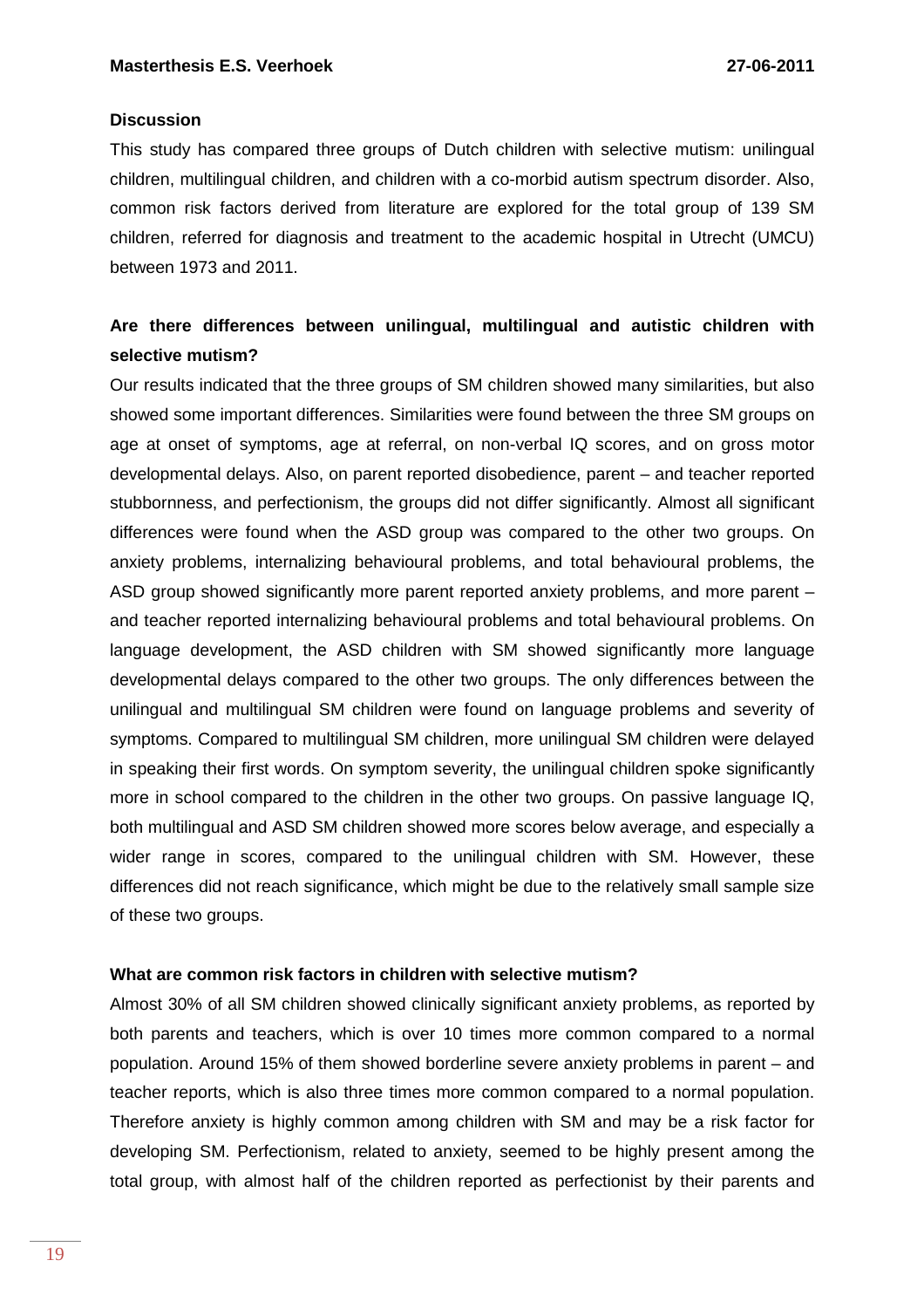# **Discussion**

This study has compared three groups of Dutch children with selective mutism: unilingual children, multilingual children, and children with a co-morbid autism spectrum disorder. Also, common risk factors derived from literature are explored for the total group of 139 SM children, referred for diagnosis and treatment to the academic hospital in Utrecht (UMCU) between 1973 and 2011.

# **Are there differences between unilingual, multilingual and autistic children with selective mutism?**

Our results indicated that the three groups of SM children showed many similarities, but also showed some important differences. Similarities were found between the three SM groups on age at onset of symptoms, age at referral, on non-verbal IQ scores, and on gross motor developmental delays. Also, on parent reported disobedience, parent – and teacher reported stubbornness, and perfectionism, the groups did not differ significantly. Almost all significant differences were found when the ASD group was compared to the other two groups. On anxiety problems, internalizing behavioural problems, and total behavioural problems, the ASD group showed significantly more parent reported anxiety problems, and more parent – and teacher reported internalizing behavioural problems and total behavioural problems. On language development, the ASD children with SM showed significantly more language developmental delays compared to the other two groups. The only differences between the unilingual and multilingual SM children were found on language problems and severity of symptoms. Compared to multilingual SM children, more unilingual SM children were delayed in speaking their first words. On symptom severity, the unilingual children spoke significantly more in school compared to the children in the other two groups. On passive language IQ, both multilingual and ASD SM children showed more scores below average, and especially a wider range in scores, compared to the unilingual children with SM. However, these differences did not reach significance, which might be due to the relatively small sample size of these two groups.

# **What are common risk factors in children with selective mutism?**

Almost 30% of all SM children showed clinically significant anxiety problems, as reported by both parents and teachers, which is over 10 times more common compared to a normal population. Around 15% of them showed borderline severe anxiety problems in parent – and teacher reports, which is also three times more common compared to a normal population. Therefore anxiety is highly common among children with SM and may be a risk factor for developing SM. Perfectionism, related to anxiety, seemed to be highly present among the total group, with almost half of the children reported as perfectionist by their parents and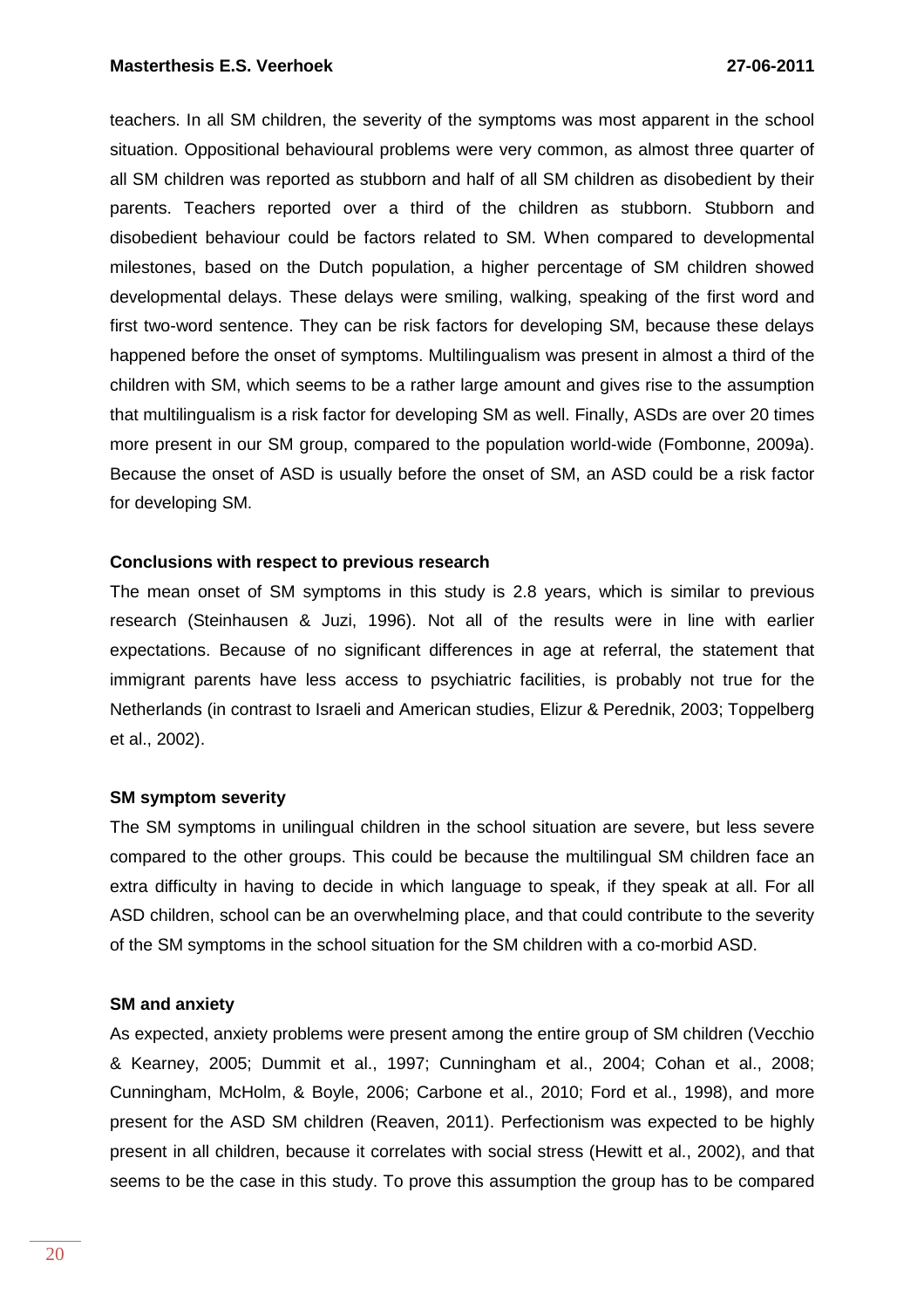teachers. In all SM children, the severity of the symptoms was most apparent in the school situation. Oppositional behavioural problems were very common, as almost three quarter of all SM children was reported as stubborn and half of all SM children as disobedient by their parents. Teachers reported over a third of the children as stubborn. Stubborn and disobedient behaviour could be factors related to SM. When compared to developmental milestones, based on the Dutch population, a higher percentage of SM children showed developmental delays. These delays were smiling, walking, speaking of the first word and first two-word sentence. They can be risk factors for developing SM, because these delays happened before the onset of symptoms. Multilingualism was present in almost a third of the children with SM, which seems to be a rather large amount and gives rise to the assumption that multilingualism is a risk factor for developing SM as well. Finally, ASDs are over 20 times more present in our SM group, compared to the population world-wide (Fombonne, 2009a). Because the onset of ASD is usually before the onset of SM, an ASD could be a risk factor for developing SM.

# **Conclusions with respect to previous research**

The mean onset of SM symptoms in this study is 2.8 years, which is similar to previous research (Steinhausen & Juzi, 1996). Not all of the results were in line with earlier expectations. Because of no significant differences in age at referral, the statement that immigrant parents have less access to psychiatric facilities, is probably not true for the Netherlands (in contrast to Israeli and American studies, Elizur & Perednik, 2003; Toppelberg et al., 2002).

### **SM symptom severity**

The SM symptoms in unilingual children in the school situation are severe, but less severe compared to the other groups. This could be because the multilingual SM children face an extra difficulty in having to decide in which language to speak, if they speak at all. For all ASD children, school can be an overwhelming place, and that could contribute to the severity of the SM symptoms in the school situation for the SM children with a co-morbid ASD.

### **SM and anxiety**

As expected, anxiety problems were present among the entire group of SM children (Vecchio & Kearney, 2005; Dummit et al., 1997; Cunningham et al., 2004; Cohan et al., 2008; Cunningham, McHolm, & Boyle, 2006; Carbone et al., 2010; Ford et al., 1998), and more present for the ASD SM children (Reaven, 2011). Perfectionism was expected to be highly present in all children, because it correlates with social stress (Hewitt et al., 2002), and that seems to be the case in this study. To prove this assumption the group has to be compared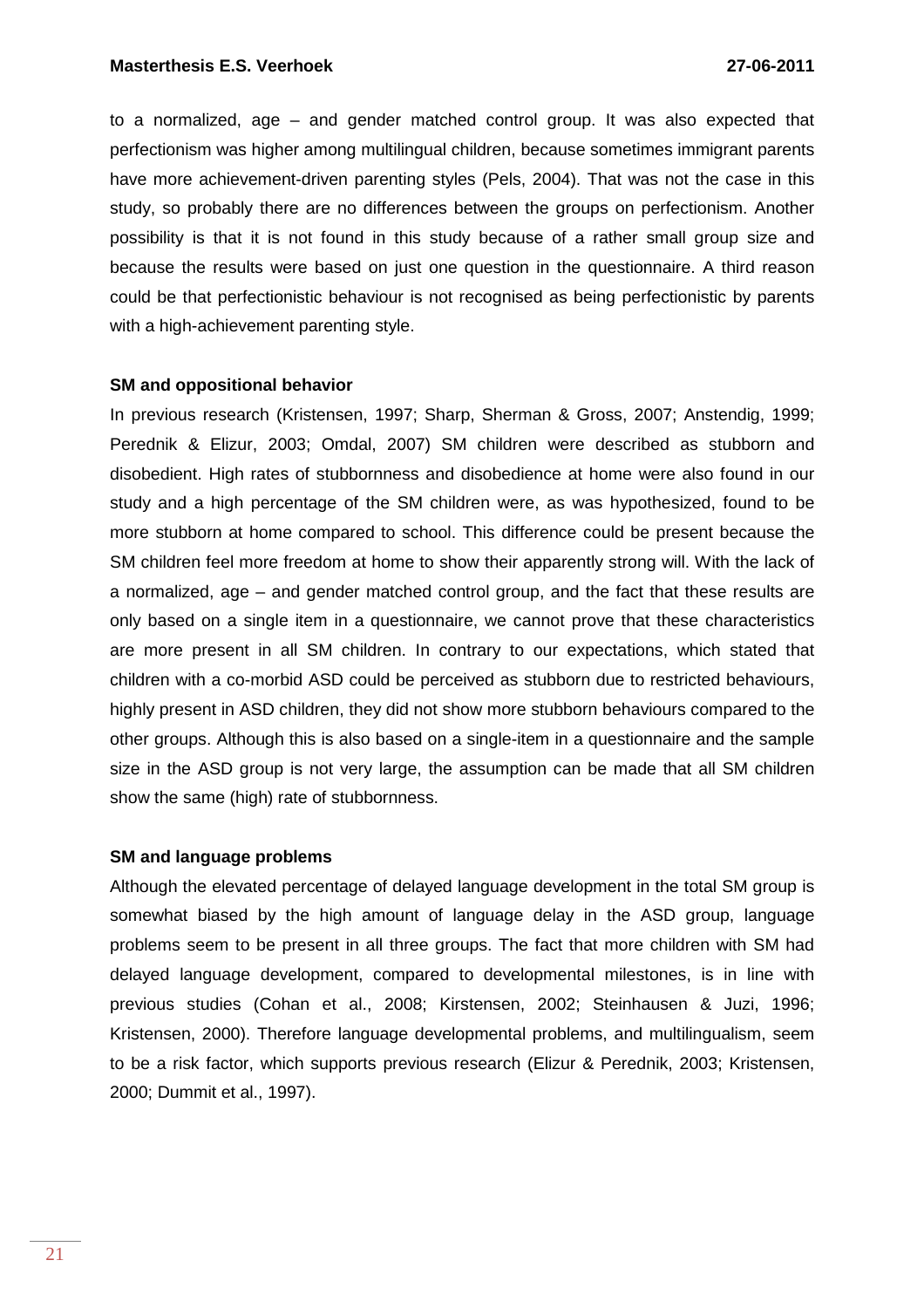to a normalized, age – and gender matched control group. It was also expected that perfectionism was higher among multilingual children, because sometimes immigrant parents have more achievement-driven parenting styles (Pels, 2004). That was not the case in this study, so probably there are no differences between the groups on perfectionism. Another possibility is that it is not found in this study because of a rather small group size and because the results were based on just one question in the questionnaire. A third reason could be that perfectionistic behaviour is not recognised as being perfectionistic by parents with a high-achievement parenting style.

#### **SM and oppositional behavior**

In previous research (Kristensen, 1997; Sharp, Sherman & Gross, 2007; Anstendig, 1999; Perednik & Elizur, 2003; Omdal, 2007) SM children were described as stubborn and disobedient. High rates of stubbornness and disobedience at home were also found in our study and a high percentage of the SM children were, as was hypothesized, found to be more stubborn at home compared to school. This difference could be present because the SM children feel more freedom at home to show their apparently strong will. With the lack of a normalized, age – and gender matched control group, and the fact that these results are only based on a single item in a questionnaire, we cannot prove that these characteristics are more present in all SM children. In contrary to our expectations, which stated that children with a co-morbid ASD could be perceived as stubborn due to restricted behaviours, highly present in ASD children, they did not show more stubborn behaviours compared to the other groups. Although this is also based on a single-item in a questionnaire and the sample size in the ASD group is not very large, the assumption can be made that all SM children show the same (high) rate of stubbornness.

#### **SM and language problems**

Although the elevated percentage of delayed language development in the total SM group is somewhat biased by the high amount of language delay in the ASD group, language problems seem to be present in all three groups. The fact that more children with SM had delayed language development, compared to developmental milestones, is in line with previous studies (Cohan et al., 2008; Kirstensen, 2002; Steinhausen & Juzi, 1996; Kristensen, 2000). Therefore language developmental problems, and multilingualism, seem to be a risk factor, which supports previous research (Elizur & Perednik, 2003; Kristensen, 2000; Dummit et al., 1997).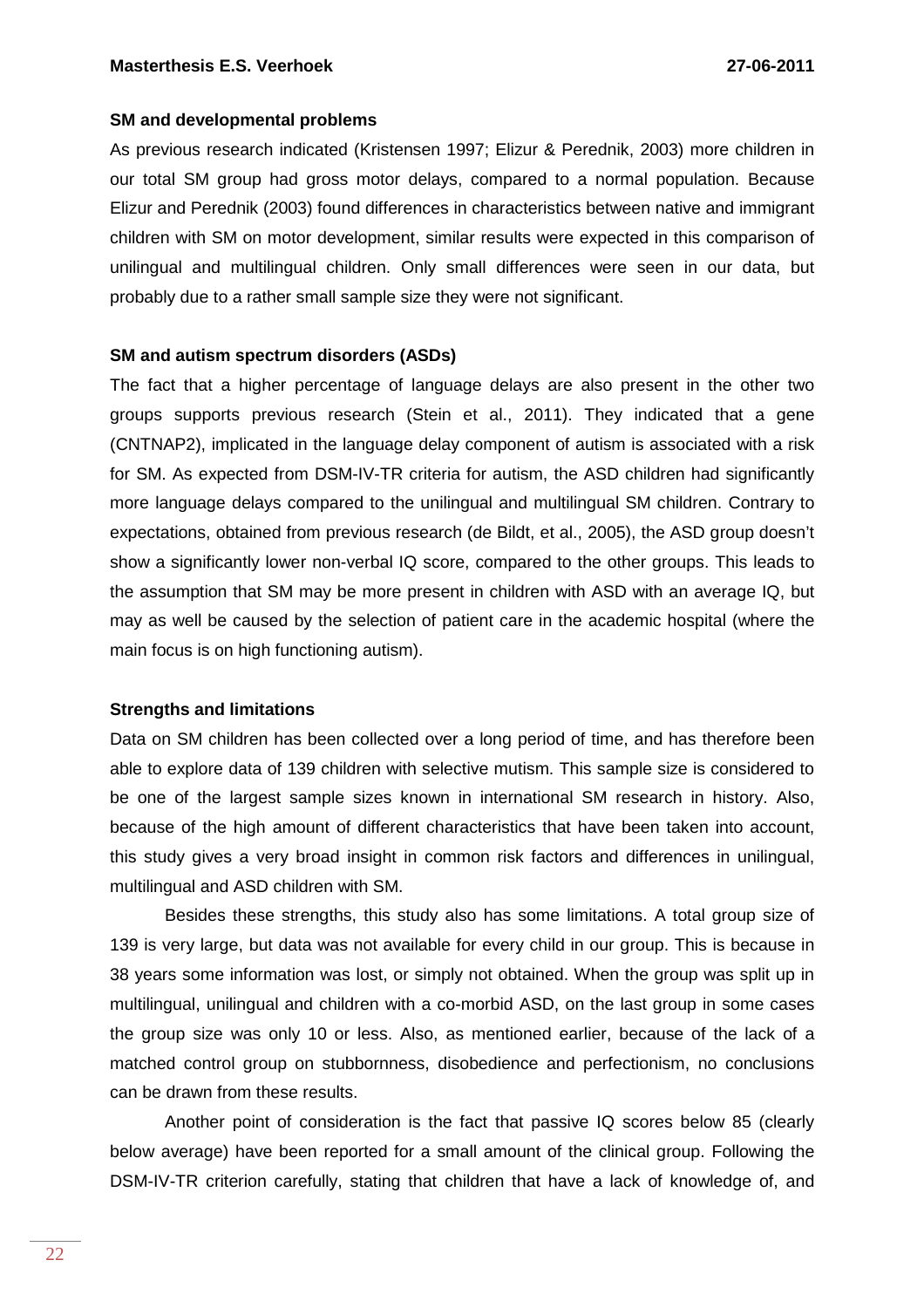#### **SM and developmental problems**

As previous research indicated (Kristensen 1997; Elizur & Perednik, 2003) more children in our total SM group had gross motor delays, compared to a normal population. Because Elizur and Perednik (2003) found differences in characteristics between native and immigrant children with SM on motor development, similar results were expected in this comparison of unilingual and multilingual children. Only small differences were seen in our data, but probably due to a rather small sample size they were not significant.

### **SM and autism spectrum disorders (ASDs)**

The fact that a higher percentage of language delays are also present in the other two groups supports previous research (Stein et al., 2011). They indicated that a gene (CNTNAP2), implicated in the language delay component of autism is associated with a risk for SM. As expected from DSM-IV-TR criteria for autism, the ASD children had significantly more language delays compared to the unilingual and multilingual SM children. Contrary to expectations, obtained from previous research (de Bildt, et al., 2005), the ASD group doesn't show a significantly lower non-verbal IQ score, compared to the other groups. This leads to the assumption that SM may be more present in children with ASD with an average IQ, but may as well be caused by the selection of patient care in the academic hospital (where the main focus is on high functioning autism).

### **Strengths and limitations**

Data on SM children has been collected over a long period of time, and has therefore been able to explore data of 139 children with selective mutism. This sample size is considered to be one of the largest sample sizes known in international SM research in history. Also, because of the high amount of different characteristics that have been taken into account, this study gives a very broad insight in common risk factors and differences in unilingual, multilingual and ASD children with SM.

Besides these strengths, this study also has some limitations. A total group size of 139 is very large, but data was not available for every child in our group. This is because in 38 years some information was lost, or simply not obtained. When the group was split up in multilingual, unilingual and children with a co-morbid ASD, on the last group in some cases the group size was only 10 or less. Also, as mentioned earlier, because of the lack of a matched control group on stubbornness, disobedience and perfectionism, no conclusions can be drawn from these results.

Another point of consideration is the fact that passive IQ scores below 85 (clearly below average) have been reported for a small amount of the clinical group. Following the DSM-IV-TR criterion carefully, stating that children that have a lack of knowledge of, and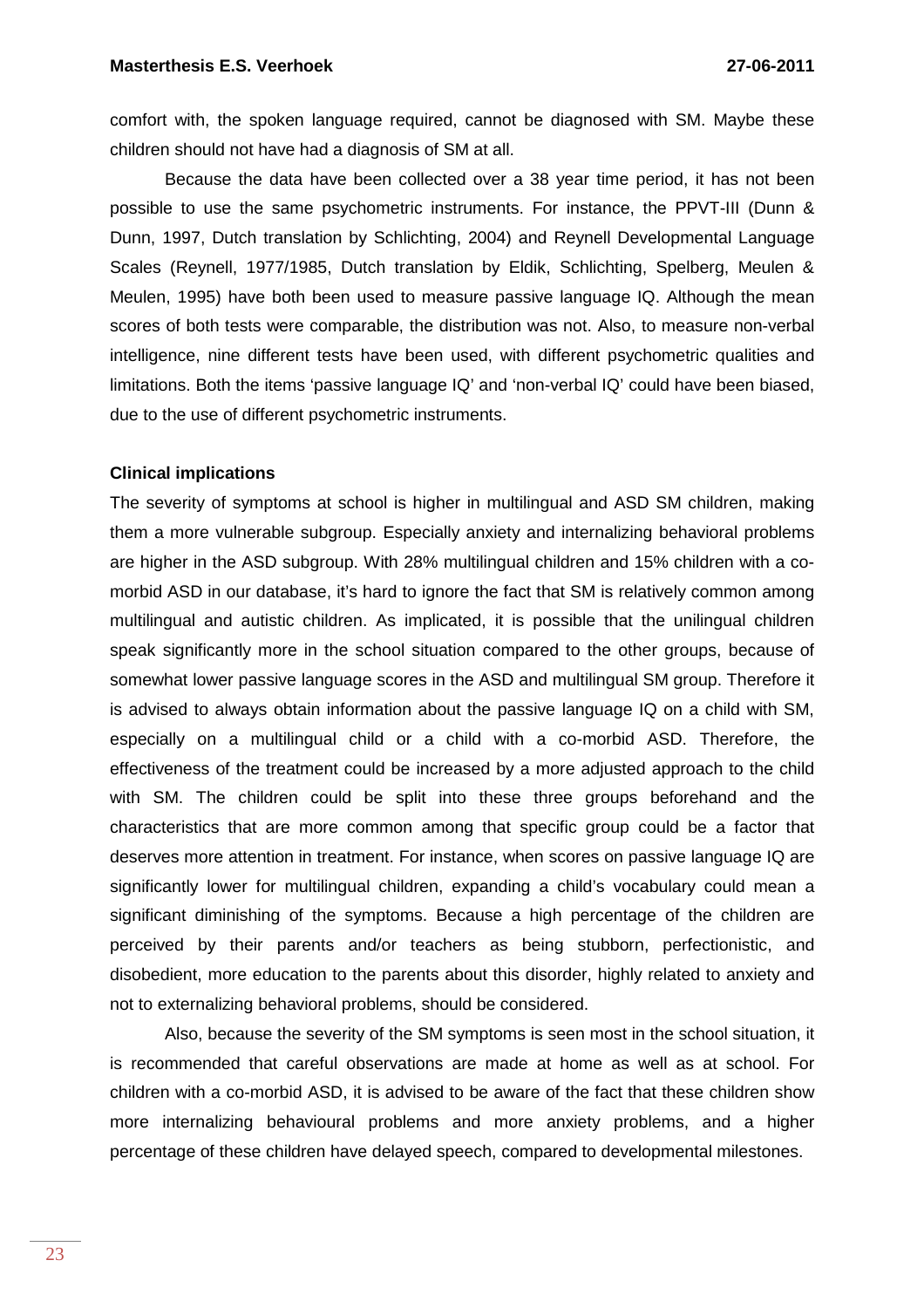comfort with, the spoken language required, cannot be diagnosed with SM. Maybe these children should not have had a diagnosis of SM at all.

Because the data have been collected over a 38 year time period, it has not been possible to use the same psychometric instruments. For instance, the PPVT-III (Dunn & Dunn, 1997, Dutch translation by Schlichting, 2004) and Reynell Developmental Language Scales (Reynell, 1977/1985, Dutch translation by Eldik, Schlichting, Spelberg, Meulen & Meulen, 1995) have both been used to measure passive language IQ. Although the mean scores of both tests were comparable, the distribution was not. Also, to measure non-verbal intelligence, nine different tests have been used, with different psychometric qualities and limitations. Both the items 'passive language IQ' and 'non-verbal IQ' could have been biased, due to the use of different psychometric instruments.

# **Clinical implications**

The severity of symptoms at school is higher in multilingual and ASD SM children, making them a more vulnerable subgroup. Especially anxiety and internalizing behavioral problems are higher in the ASD subgroup. With 28% multilingual children and 15% children with a comorbid ASD in our database, it's hard to ignore the fact that SM is relatively common among multilingual and autistic children. As implicated, it is possible that the unilingual children speak significantly more in the school situation compared to the other groups, because of somewhat lower passive language scores in the ASD and multilingual SM group. Therefore it is advised to always obtain information about the passive language IQ on a child with SM, especially on a multilingual child or a child with a co-morbid ASD. Therefore, the effectiveness of the treatment could be increased by a more adjusted approach to the child with SM. The children could be split into these three groups beforehand and the characteristics that are more common among that specific group could be a factor that deserves more attention in treatment. For instance, when scores on passive language IQ are significantly lower for multilingual children, expanding a child's vocabulary could mean a significant diminishing of the symptoms. Because a high percentage of the children are perceived by their parents and/or teachers as being stubborn, perfectionistic, and disobedient, more education to the parents about this disorder, highly related to anxiety and not to externalizing behavioral problems, should be considered.

Also, because the severity of the SM symptoms is seen most in the school situation, it is recommended that careful observations are made at home as well as at school. For children with a co-morbid ASD, it is advised to be aware of the fact that these children show more internalizing behavioural problems and more anxiety problems, and a higher percentage of these children have delayed speech, compared to developmental milestones.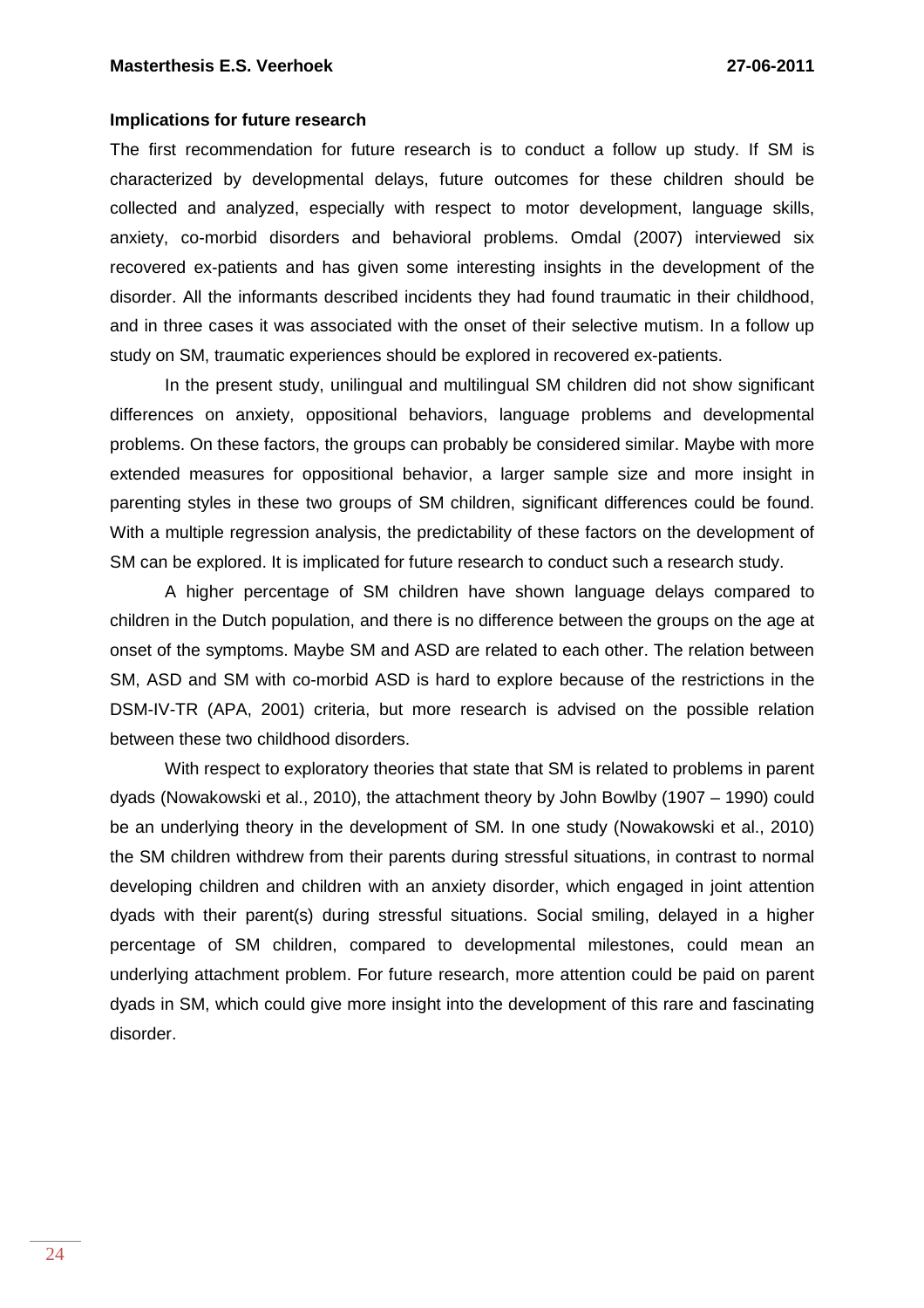#### **Implications for future research**

The first recommendation for future research is to conduct a follow up study. If SM is characterized by developmental delays, future outcomes for these children should be collected and analyzed, especially with respect to motor development, language skills, anxiety, co-morbid disorders and behavioral problems. Omdal (2007) interviewed six recovered ex-patients and has given some interesting insights in the development of the disorder. All the informants described incidents they had found traumatic in their childhood, and in three cases it was associated with the onset of their selective mutism. In a follow up study on SM, traumatic experiences should be explored in recovered ex-patients.

In the present study, unilingual and multilingual SM children did not show significant differences on anxiety, oppositional behaviors, language problems and developmental problems. On these factors, the groups can probably be considered similar. Maybe with more extended measures for oppositional behavior, a larger sample size and more insight in parenting styles in these two groups of SM children, significant differences could be found. With a multiple regression analysis, the predictability of these factors on the development of SM can be explored. It is implicated for future research to conduct such a research study.

A higher percentage of SM children have shown language delays compared to children in the Dutch population, and there is no difference between the groups on the age at onset of the symptoms. Maybe SM and ASD are related to each other. The relation between SM, ASD and SM with co-morbid ASD is hard to explore because of the restrictions in the DSM-IV-TR (APA, 2001) criteria, but more research is advised on the possible relation between these two childhood disorders.

With respect to exploratory theories that state that SM is related to problems in parent dyads (Nowakowski et al., 2010), the attachment theory by John Bowlby (1907 – 1990) could be an underlying theory in the development of SM. In one study (Nowakowski et al., 2010) the SM children withdrew from their parents during stressful situations, in contrast to normal developing children and children with an anxiety disorder, which engaged in joint attention dyads with their parent(s) during stressful situations. Social smiling, delayed in a higher percentage of SM children, compared to developmental milestones, could mean an underlying attachment problem. For future research, more attention could be paid on parent dyads in SM, which could give more insight into the development of this rare and fascinating disorder.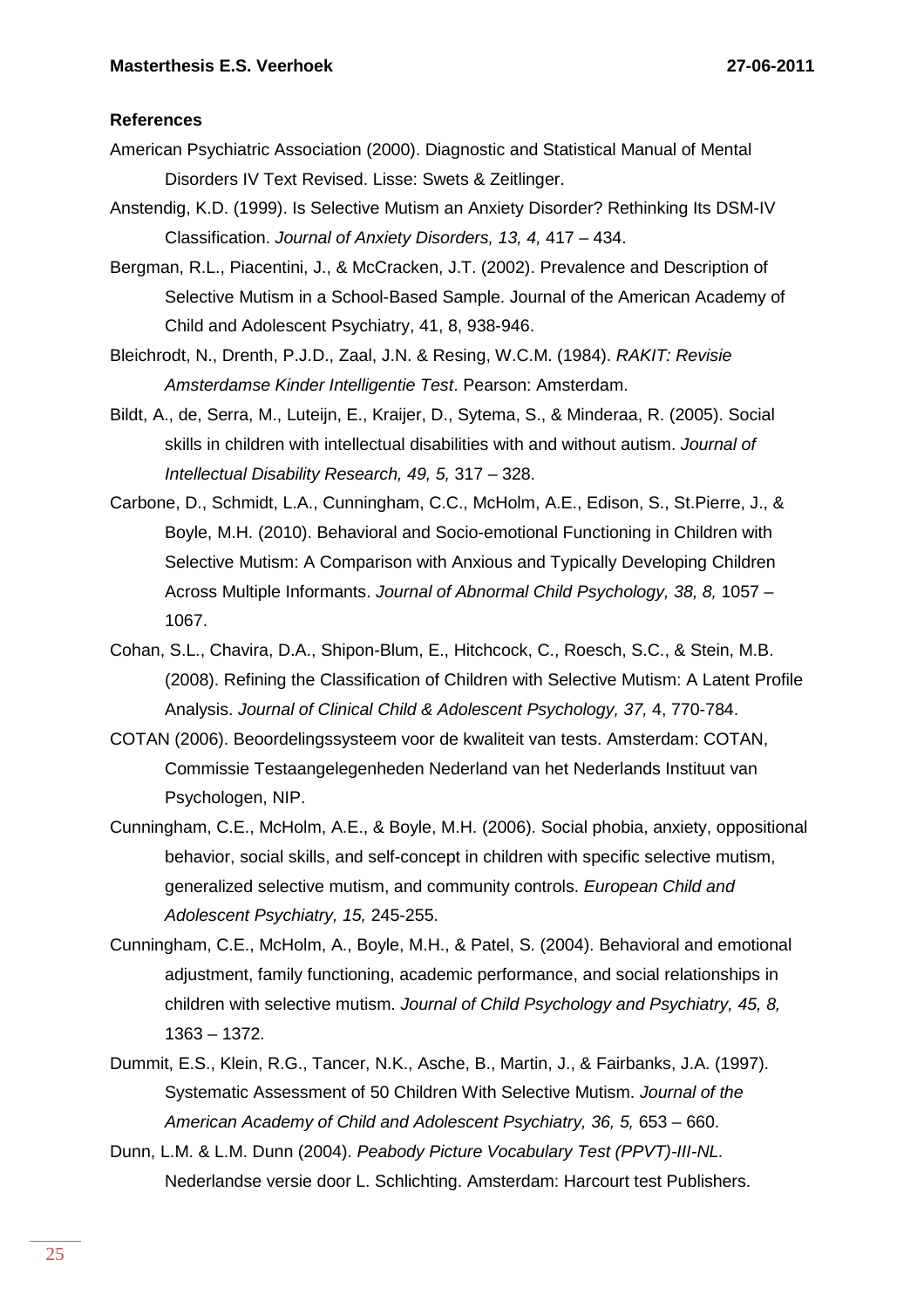# **References**

- American Psychiatric Association (2000). Diagnostic and Statistical Manual of Mental Disorders IV Text Revised. Lisse: Swets & Zeitlinger.
- Anstendig, K.D. (1999). Is Selective Mutism an Anxiety Disorder? Rethinking Its DSM-IV Classification. Journal of Anxiety Disorders, 13, 4, 417 – 434.
- Bergman, R.L., Piacentini, J., & McCracken, J.T. (2002). Prevalence and Description of Selective Mutism in a School-Based Sample. Journal of the American Academy of Child and Adolescent Psychiatry, 41, 8, 938-946.
- Bleichrodt, N., Drenth, P.J.D., Zaal, J.N. & Resing, W.C.M. (1984). RAKIT: Revisie Amsterdamse Kinder Intelligentie Test. Pearson: Amsterdam.
- Bildt, A., de, Serra, M., Luteijn, E., Kraijer, D., Sytema, S., & Minderaa, R. (2005). Social skills in children with intellectual disabilities with and without autism. Journal of Intellectual Disability Research, 49, 5, 317 – 328.
- Carbone, D., Schmidt, L.A., Cunningham, C.C., McHolm, A.E., Edison, S., St.Pierre, J., & Boyle, M.H. (2010). Behavioral and Socio-emotional Functioning in Children with Selective Mutism: A Comparison with Anxious and Typically Developing Children Across Multiple Informants. Journal of Abnormal Child Psychology, 38, 8, 1057 – 1067.
- Cohan, S.L., Chavira, D.A., Shipon-Blum, E., Hitchcock, C., Roesch, S.C., & Stein, M.B. (2008). Refining the Classification of Children with Selective Mutism: A Latent Profile Analysis. Journal of Clinical Child & Adolescent Psychology, 37, 4, 770-784.
- COTAN (2006). Beoordelingssysteem voor de kwaliteit van tests. Amsterdam: COTAN, Commissie Testaangelegenheden Nederland van het Nederlands Instituut van Psychologen, NIP.
- Cunningham, C.E., McHolm, A.E., & Boyle, M.H. (2006). Social phobia, anxiety, oppositional behavior, social skills, and self-concept in children with specific selective mutism, generalized selective mutism, and community controls. European Child and Adolescent Psychiatry, 15, 245-255.
- Cunningham, C.E., McHolm, A., Boyle, M.H., & Patel, S. (2004). Behavioral and emotional adjustment, family functioning, academic performance, and social relationships in children with selective mutism. Journal of Child Psychology and Psychiatry, 45, 8, 1363 – 1372.
- Dummit, E.S., Klein, R.G., Tancer, N.K., Asche, B., Martin, J., & Fairbanks, J.A. (1997). Systematic Assessment of 50 Children With Selective Mutism. Journal of the American Academy of Child and Adolescent Psychiatry, 36, 5, 653 – 660.
- Dunn, L.M. & L.M. Dunn (2004). Peabody Picture Vocabulary Test (PPVT)-III-NL. Nederlandse versie door L. Schlichting. Amsterdam: Harcourt test Publishers.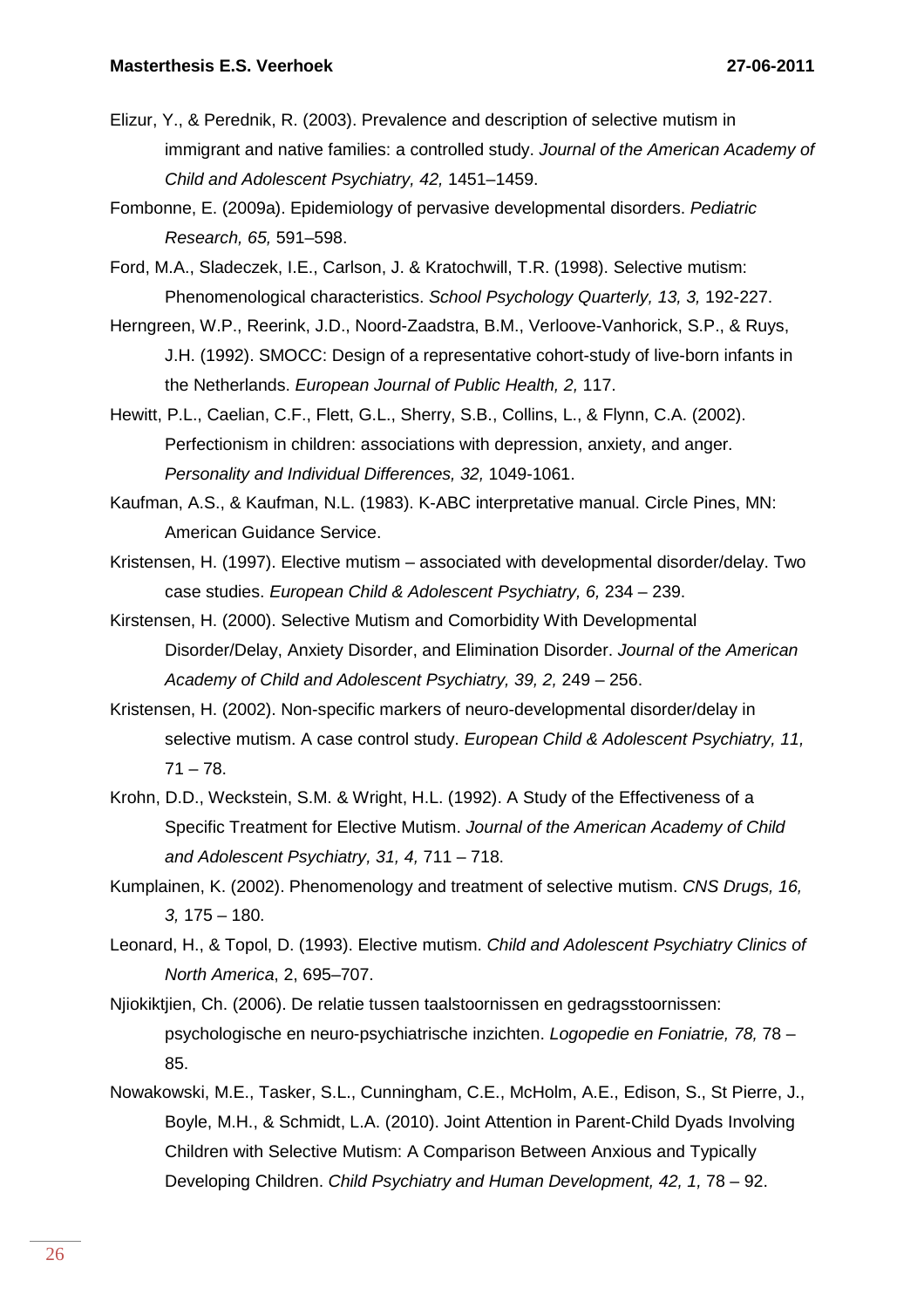- Elizur, Y., & Perednik, R. (2003). Prevalence and description of selective mutism in immigrant and native families: a controlled study. Journal of the American Academy of Child and Adolescent Psychiatry, 42, 1451–1459.
- Fombonne, E. (2009a). Epidemiology of pervasive developmental disorders. Pediatric Research, 65, 591–598.
- Ford, M.A., Sladeczek, I.E., Carlson, J. & Kratochwill, T.R. (1998). Selective mutism: Phenomenological characteristics. School Psychology Quarterly, 13, 3, 192-227.
- Herngreen, W.P., Reerink, J.D., Noord-Zaadstra, B.M., Verloove-Vanhorick, S.P., & Ruys, J.H. (1992). SMOCC: Design of a representative cohort-study of live-born infants in the Netherlands. European Journal of Public Health, 2, 117.
- Hewitt, P.L., Caelian, C.F., Flett, G.L., Sherry, S.B., Collins, L., & Flynn, C.A. (2002). Perfectionism in children: associations with depression, anxiety, and anger. Personality and Individual Differences, 32, 1049-1061.
- Kaufman, A.S., & Kaufman, N.L. (1983). K-ABC interpretative manual. Circle Pines, MN: American Guidance Service.
- Kristensen, H. (1997). Elective mutism associated with developmental disorder/delay. Two case studies. European Child & Adolescent Psychiatry, 6, 234 – 239.
- Kirstensen, H. (2000). Selective Mutism and Comorbidity With Developmental Disorder/Delay, Anxiety Disorder, and Elimination Disorder. Journal of the American Academy of Child and Adolescent Psychiatry, 39, 2, 249 – 256.
- Kristensen, H. (2002). Non-specific markers of neuro-developmental disorder/delay in selective mutism. A case control study. European Child & Adolescent Psychiatry, 11,  $71 - 78.$
- Krohn, D.D., Weckstein, S.M. & Wright, H.L. (1992). A Study of the Effectiveness of a Specific Treatment for Elective Mutism. Journal of the American Academy of Child and Adolescent Psychiatry, 31, 4, 711 – 718.
- Kumplainen, K. (2002). Phenomenology and treatment of selective mutism. CNS Drugs, 16, 3, 175 – 180.
- Leonard, H., & Topol, D. (1993). Elective mutism. Child and Adolescent Psychiatry Clinics of North America, 2, 695–707.
- Njiokiktjien, Ch. (2006). De relatie tussen taalstoornissen en gedragsstoornissen: psychologische en neuro-psychiatrische inzichten. Logopedie en Foniatrie, 78, 78 – 85.
- Nowakowski, M.E., Tasker, S.L., Cunningham, C.E., McHolm, A.E., Edison, S., St Pierre, J., Boyle, M.H., & Schmidt, L.A. (2010). Joint Attention in Parent-Child Dyads Involving Children with Selective Mutism: A Comparison Between Anxious and Typically Developing Children. Child Psychiatry and Human Development, 42, 1, 78 – 92.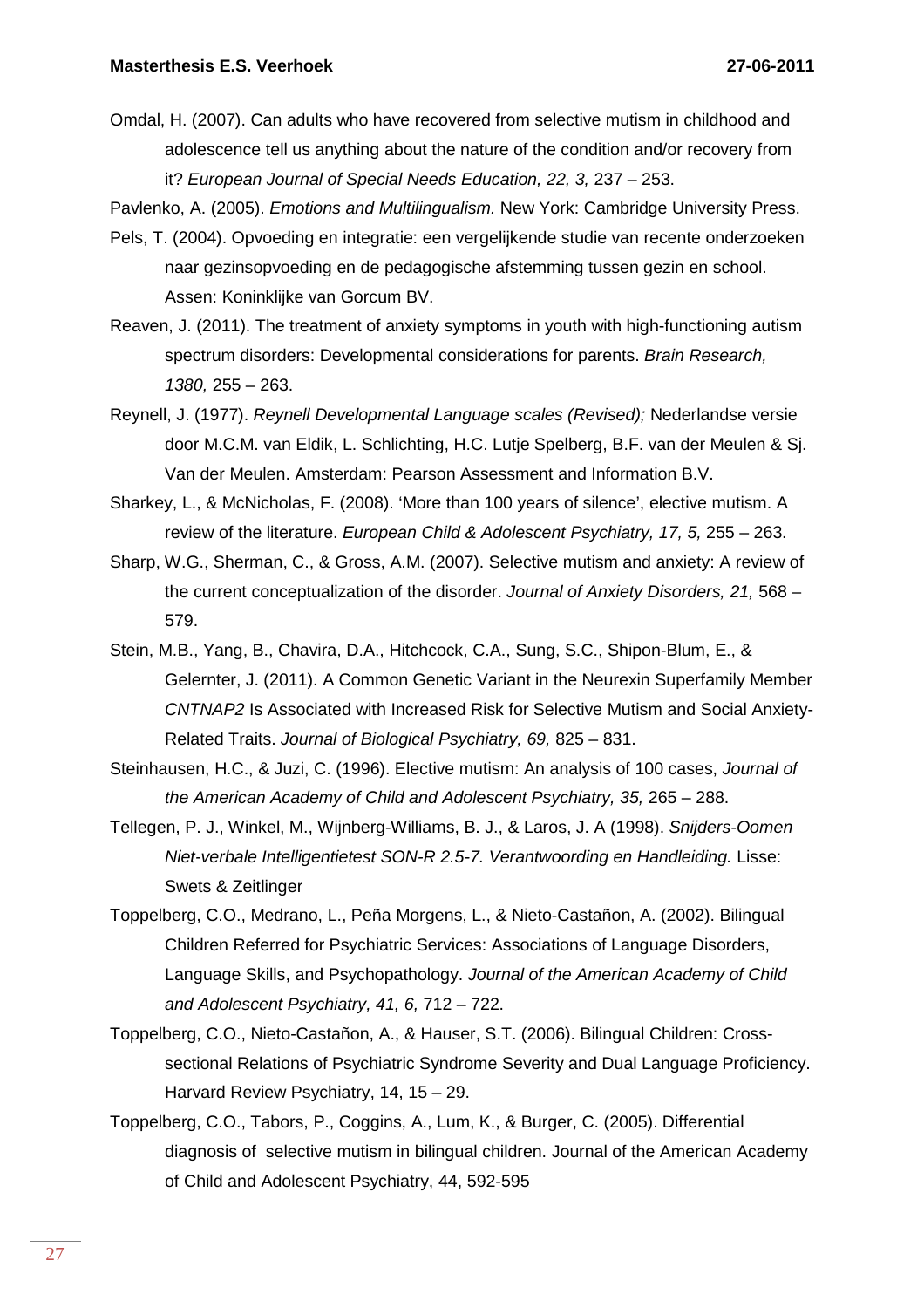Omdal, H. (2007). Can adults who have recovered from selective mutism in childhood and adolescence tell us anything about the nature of the condition and/or recovery from it? European Journal of Special Needs Education, 22, 3, 237 – 253.

Pavlenko, A. (2005). Emotions and Multilingualism. New York: Cambridge University Press.

- Pels, T. (2004). Opvoeding en integratie: een vergelijkende studie van recente onderzoeken naar gezinsopvoeding en de pedagogische afstemming tussen gezin en school. Assen: Koninklijke van Gorcum BV.
- Reaven, J. (2011). The treatment of anxiety symptoms in youth with high-functioning autism spectrum disorders: Developmental considerations for parents. Brain Research, 1380, 255 – 263.
- Reynell, J. (1977). Reynell Developmental Language scales (Revised); Nederlandse versie door M.C.M. van Eldik, L. Schlichting, H.C. Lutje Spelberg, B.F. van der Meulen & Sj. Van der Meulen. Amsterdam: Pearson Assessment and Information B.V.
- Sharkey, L., & McNicholas, F. (2008). 'More than 100 years of silence', elective mutism. A review of the literature. European Child & Adolescent Psychiatry, 17, 5, 255 – 263.
- Sharp, W.G., Sherman, C., & Gross, A.M. (2007). Selective mutism and anxiety: A review of the current conceptualization of the disorder. Journal of Anxiety Disorders, 21, 568 – 579.
- Stein, M.B., Yang, B., Chavira, D.A., Hitchcock, C.A., Sung, S.C., Shipon-Blum, E., & Gelernter, J. (2011). A Common Genetic Variant in the Neurexin Superfamily Member CNTNAP2 Is Associated with Increased Risk for Selective Mutism and Social Anxiety-Related Traits. Journal of Biological Psychiatry, 69, 825 – 831.
- Steinhausen, H.C., & Juzi, C. (1996). Elective mutism: An analysis of 100 cases, Journal of the American Academy of Child and Adolescent Psychiatry, 35, 265 – 288.
- Tellegen, P. J., Winkel, M., Wijnberg-Williams, B. J., & Laros, J. A (1998). Snijders-Oomen Niet-verbale Intelligentietest SON-R 2.5-7. Verantwoording en Handleiding. Lisse: Swets & Zeitlinger
- Toppelberg, C.O., Medrano, L., Peña Morgens, L., & Nieto-Castañon, A. (2002). Bilingual Children Referred for Psychiatric Services: Associations of Language Disorders, Language Skills, and Psychopathology. Journal of the American Academy of Child and Adolescent Psychiatry, 41, 6, 712 – 722.
- Toppelberg, C.O., Nieto-Castañon, A., & Hauser, S.T. (2006). Bilingual Children: Crosssectional Relations of Psychiatric Syndrome Severity and Dual Language Proficiency. Harvard Review Psychiatry, 14, 15 – 29.
- Toppelberg, C.O., Tabors, P., Coggins, A., Lum, K., & Burger, C. (2005). Differential diagnosis of selective mutism in bilingual children. Journal of the American Academy of Child and Adolescent Psychiatry, 44, 592-595